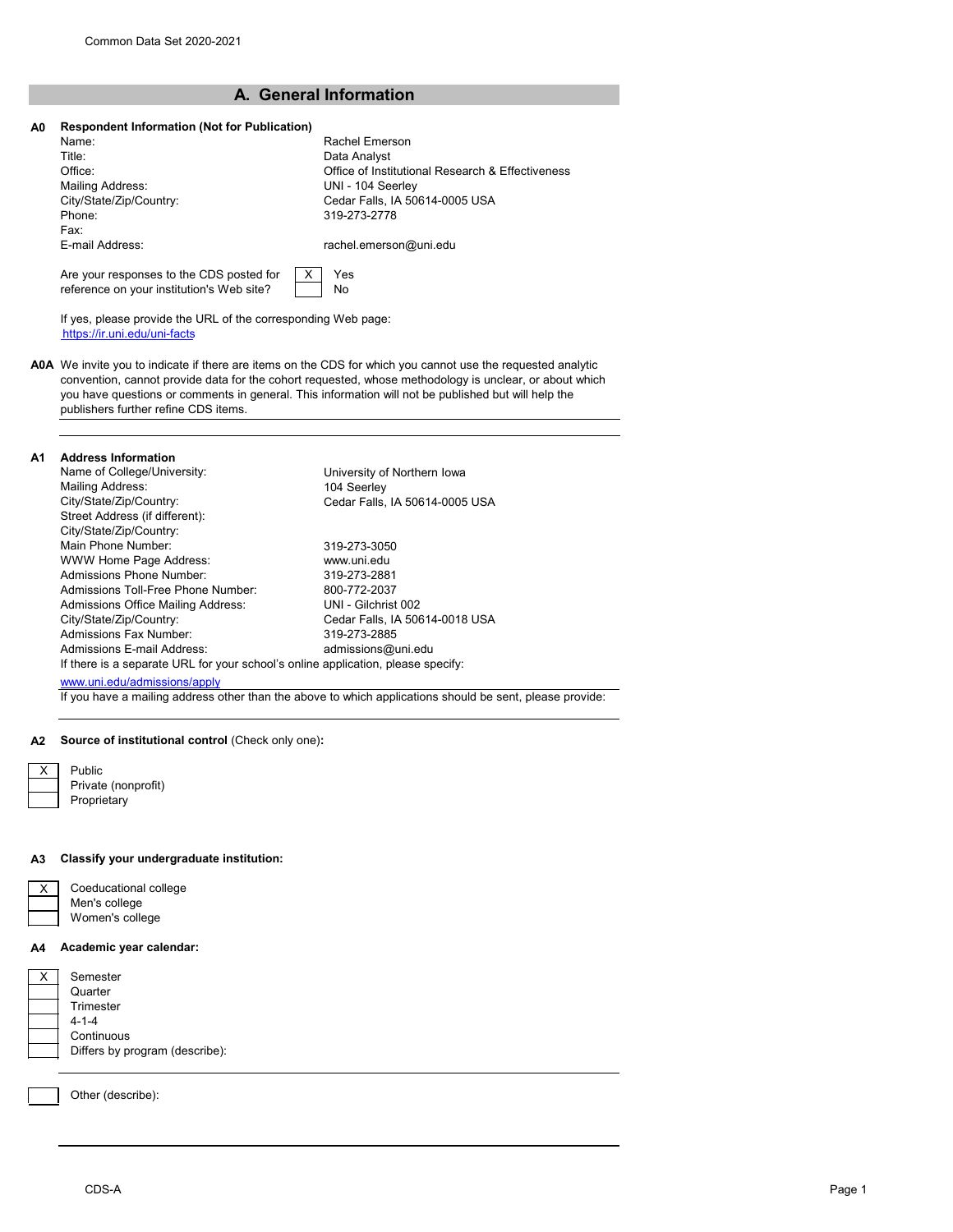reference on your institution's Web site?

# **A. General Information**

| A <sub>0</sub> | <b>Respondent Information (Not for Publication)</b> |                                                  |  |  |  |
|----------------|-----------------------------------------------------|--------------------------------------------------|--|--|--|
|                | Name:                                               | Rachel Emerson                                   |  |  |  |
|                | Title:                                              | Data Analyst                                     |  |  |  |
|                | Office:                                             | Office of Institutional Research & Effectiveness |  |  |  |
|                | Mailing Address:                                    | UNI - 104 Seerley                                |  |  |  |
|                | City/State/Zip/Country:                             | Cedar Falls, IA 50614-0005 USA                   |  |  |  |
|                | Phone:                                              | 319-273-2778                                     |  |  |  |
|                | Fax:                                                |                                                  |  |  |  |
|                | E-mail Address:                                     | rachel.emerson@uni.edu                           |  |  |  |
|                | Are your responses to the CDS posted for            | Yes                                              |  |  |  |

If yes, please provide the URL of the corresponding Web page: https://ir.uni.edu/uni-facts

**A0A** We invite you to indicate if there are items on the CDS for which you cannot use the requested analytic convention, cannot provide data for the cohort requested, whose methodology is unclear, or about which you have questions or comments in general. This information will not be published but will help the publishers further refine CDS items.

No

#### **A1 Address Information**

| Name of College/University:                                                      | University of Northern Iowa    |
|----------------------------------------------------------------------------------|--------------------------------|
| Mailing Address:                                                                 | 104 Seerley                    |
| City/State/Zip/Country:                                                          | Cedar Falls, IA 50614-0005 USA |
| Street Address (if different):                                                   |                                |
| City/State/Zip/Country:                                                          |                                |
| Main Phone Number:                                                               | 319-273-3050                   |
| <b>WWW Home Page Address:</b>                                                    | www.uni.edu                    |
| Admissions Phone Number:                                                         | 319-273-2881                   |
| Admissions Toll-Free Phone Number:                                               | 800-772-2037                   |
| Admissions Office Mailing Address:                                               | UNI - Gilchrist 002            |
| City/State/Zip/Country:                                                          | Cedar Falls, IA 50614-0018 USA |
| Admissions Fax Number:                                                           | 319-273-2885                   |
| Admissions E-mail Address:                                                       | admissions@uni.edu             |
| If there is a separate URL for your school's online application, please specify: |                                |
| www.uni.edu/admissions/apply                                                     |                                |
|                                                                                  |                                |

If you have a mailing address other than the above to which applications should be sent, please provide:

#### **A2 Source of institutional control** (Check only one)**:**

| х | Public              |
|---|---------------------|
|   | Private (nonprofit) |
|   | Proprietary         |

#### **A3 Classify your undergraduate institution:**

| Coeducational college |
|-----------------------|
| Men's college         |
| Women's college       |

### **A4 Academic year calendar:**

| Semester                       |
|--------------------------------|
| Quarter                        |
| Trimester                      |
| $4 - 1 - 4$                    |
| Continuous                     |
| Differs by program (describe): |
|                                |

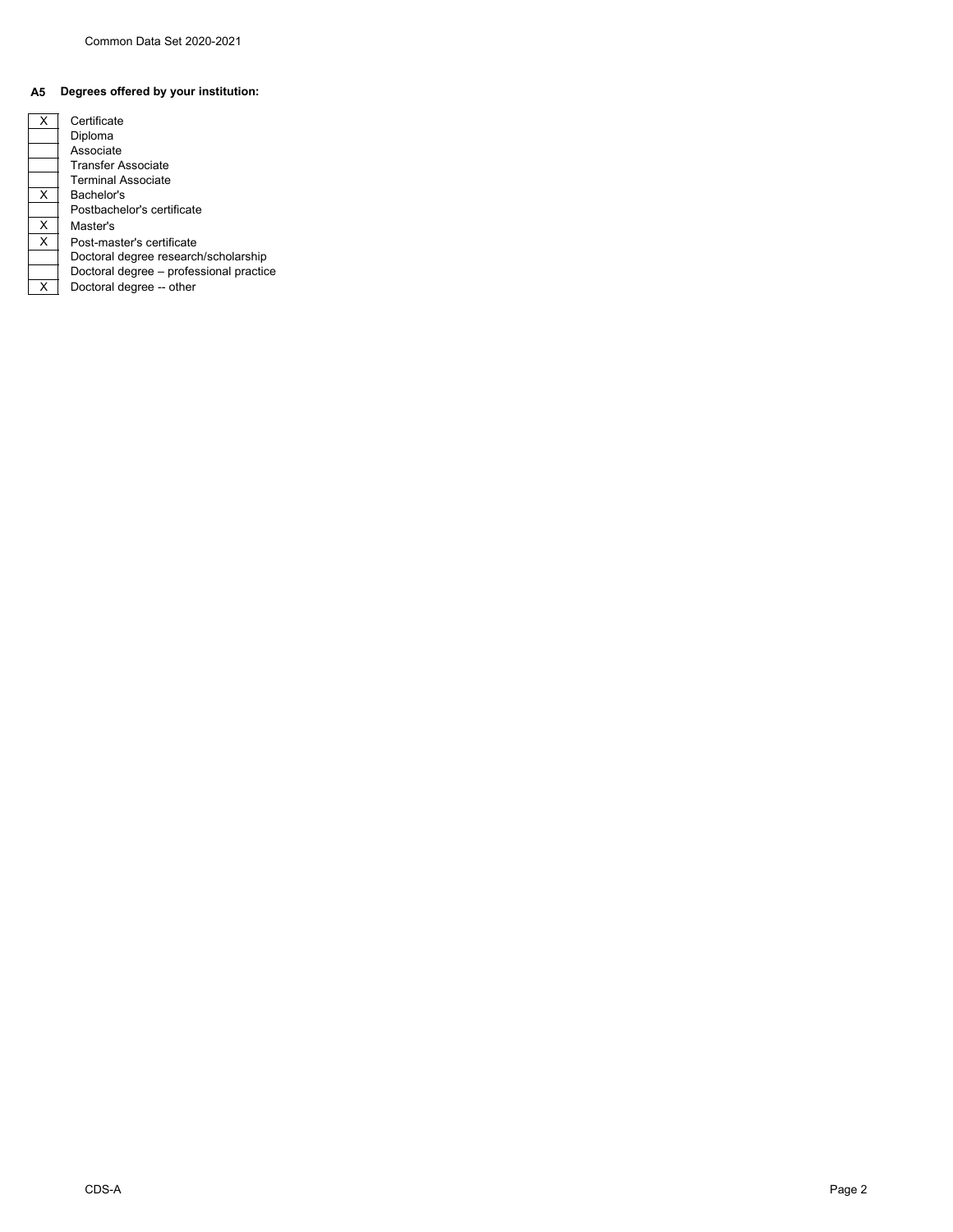# **A5 Degrees offered by your institution:**

| х | Certificate                             |
|---|-----------------------------------------|
|   | Diploma                                 |
|   | Associate                               |
|   | Transfer Associate                      |
|   | <b>Terminal Associate</b>               |
| х | Bachelor's                              |
|   | Postbachelor's certificate              |
| х | Master's                                |
| X | Post-master's certificate               |
|   | Doctoral degree research/scholarship    |
|   | Doctoral degree - professional practice |
| x | Doctoral degree -- other                |
|   |                                         |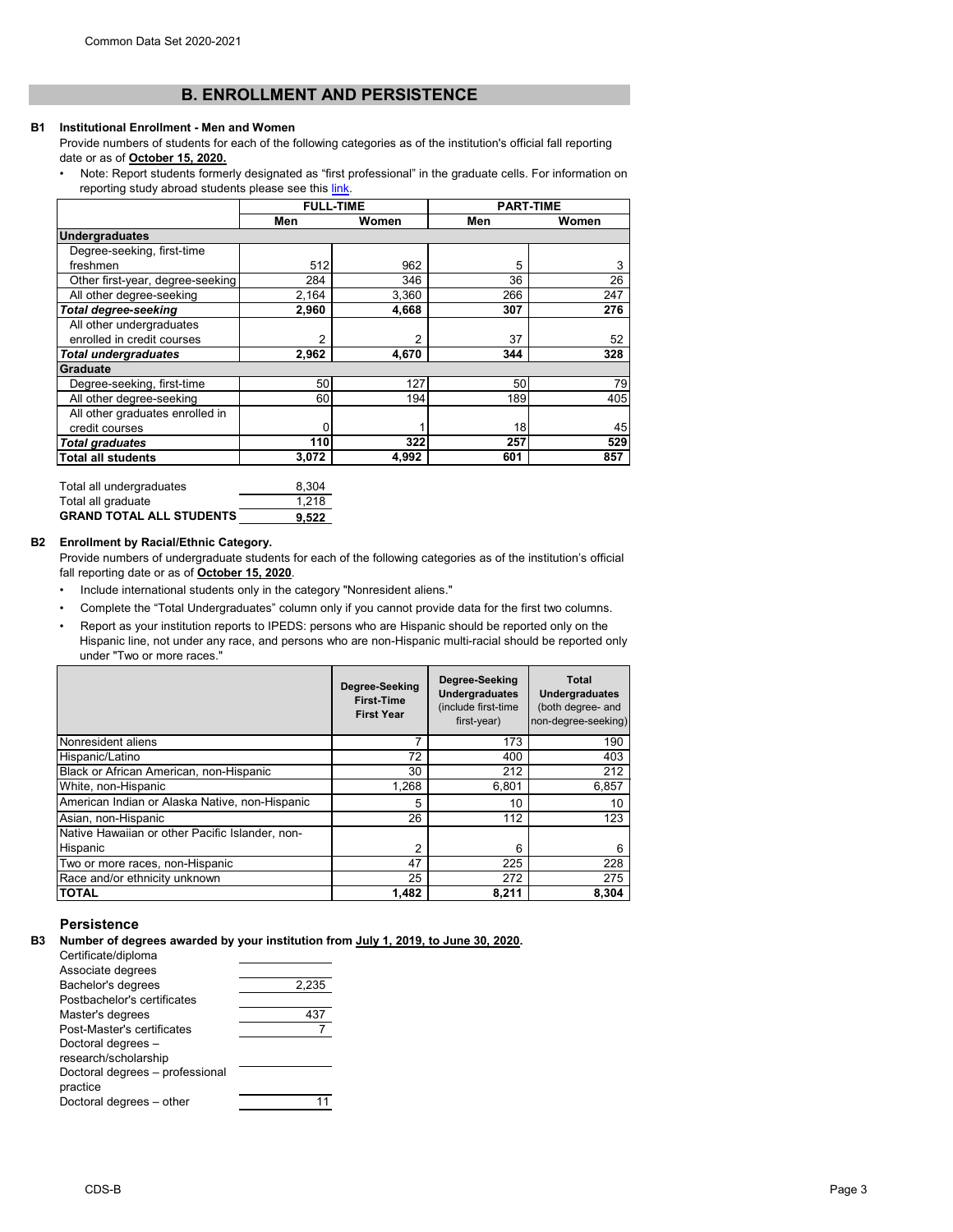# **B. ENROLLMENT AND PERSISTENCE**

#### **B1 Institutional Enrollment - Men and Women**

- Provide numbers of students for each of the following categories as of the institution's official fall reporting date or as of **October 15, 2020.**
- [Note: Report students formerly designated as "first professional" in the graduate cells. For information on](https://nces.ed.gov/ipeds/pdf/Reporting_Study_Abroad%20Students_5.31.17.pdf) [reporting study abroad students please see this link](https://nces.ed.gov/ipeds/pdf/Reporting_Study_Abroad%20Students_5.31.17.pdf).

|                                  | <b>FULL-TIME</b> |       | <b>PART-TIME</b> |       |
|----------------------------------|------------------|-------|------------------|-------|
|                                  | Men              | Women | Men              | Women |
| <b>Undergraduates</b>            |                  |       |                  |       |
| Degree-seeking, first-time       |                  |       |                  |       |
| freshmen                         | 512              | 962   | 5                | 3     |
| Other first-year, degree-seeking | 284              | 346   | 36               | 26    |
| All other degree-seeking         | 2,164            | 3,360 | 266              | 247   |
| <b>Total degree-seeking</b>      | 2,960            | 4,668 | 307              | 276   |
| All other undergraduates         |                  |       |                  |       |
| enrolled in credit courses       | 2                | 2     | 37               | 52    |
| <b>Total undergraduates</b>      | 2,962            | 4,670 | 344              | 328   |
| <b>Graduate</b>                  |                  |       |                  |       |
| Degree-seeking, first-time       | 50               | 127   | 50               | 79    |
| All other degree-seeking         | 60               | 194   | 189              | 405   |
| All other graduates enrolled in  |                  |       |                  |       |
| credit courses                   |                  |       | 18               | 45    |
| <b>Total graduates</b>           | 110              | 322   | 257              | 529   |
| <b>Total all students</b>        | 3,072            | 4,992 | 601              | 857   |

| Total all undergraduates        | 8.304 |
|---------------------------------|-------|
| Total all graduate              | 1.218 |
| <b>GRAND TOTAL ALL STUDENTS</b> | 9.522 |

## **B2 Enrollment by Racial/Ethnic Category.**

Provide numbers of undergraduate students for each of the following categories as of the institution's official fall reporting date or as of **October 15, 2020**.

- Include international students only in the category "Nonresident aliens."
- Complete the "Total Undergraduates" column only if you cannot provide data for the first two columns.
- Report as your institution reports to IPEDS: persons who are Hispanic should be reported only on the Hispanic line, not under any race, and persons who are non-Hispanic multi-racial should be reported only under "Two or more races."

|                                                 | Degree-Seeking<br><b>First-Time</b><br><b>First Year</b> | Degree-Seeking<br><b>Undergraduates</b><br>(include first-time<br>first-year) | <b>Total</b><br><b>Undergraduates</b><br>(both degree- and<br>non-degree-seeking) |
|-------------------------------------------------|----------------------------------------------------------|-------------------------------------------------------------------------------|-----------------------------------------------------------------------------------|
| Nonresident aliens                              | 7                                                        | 173                                                                           | 190                                                                               |
| Hispanic/Latino                                 | 72                                                       | 400                                                                           | 403                                                                               |
| Black or African American, non-Hispanic         | 30                                                       | 212                                                                           | 212                                                                               |
| White, non-Hispanic                             | 1,268                                                    | 6,801                                                                         | 6,857                                                                             |
| American Indian or Alaska Native, non-Hispanic  | 5                                                        | 10                                                                            | 10                                                                                |
| Asian, non-Hispanic                             | 26                                                       | 112                                                                           | 123                                                                               |
| Native Hawaiian or other Pacific Islander, non- |                                                          |                                                                               |                                                                                   |
| Hispanic                                        | 2                                                        | 6                                                                             | 6                                                                                 |
| Two or more races, non-Hispanic                 | 47                                                       | 225                                                                           | 228                                                                               |
| Race and/or ethnicity unknown                   | 25                                                       | 272                                                                           | 275                                                                               |
| <b>TOTAL</b>                                    | 1,482                                                    | 8,211                                                                         | 8,304                                                                             |

### **Persistence**

**B3 Number of degrees awarded by your institution from July 1, 2019, to June 30, 2020.**

| Certificate/diploma             |       |
|---------------------------------|-------|
| Associate degrees               |       |
| Bachelor's degrees              | 2,235 |
| Postbachelor's certificates     |       |
| Master's degrees                |       |
| Post-Master's certificates      |       |
| Doctoral degrees -              |       |
| research/scholarship            |       |
| Doctoral degrees - professional |       |
| practice                        |       |
| Doctoral degrees - other        |       |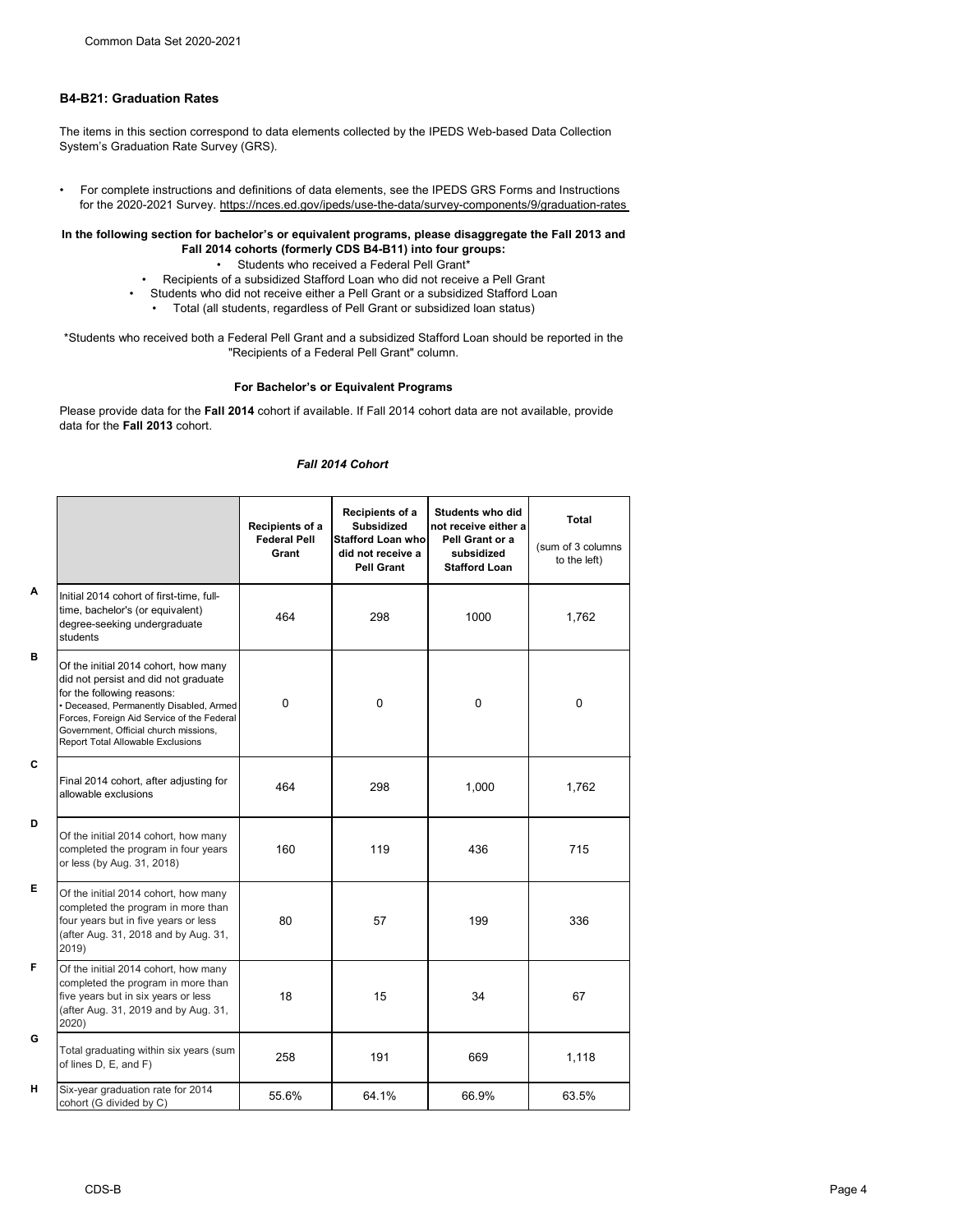# **B4-B21: Graduation Rates**

The items in this section correspond to data elements collected by the IPEDS Web-based Data Collection System's Graduation Rate Survey (GRS).

• For complete instructions and definitions of data elements, see the IPEDS GRS Forms and Instructions for the 2020-2021 Survey. https://nces.ed.gov/ipeds/use-the-data/survey-components/9/graduation-rates

# **In the following section for bachelor's or equivalent programs, please disaggregate the Fall 2013 and Fall 2014 cohorts (formerly CDS B4-B11) into four groups:**

- Students who received a Federal Pell Grant\*
- Recipients of a subsidized Stafford Loan who did not receive a Pell Grant
- Students who did not receive either a Pell Grant or a subsidized Stafford Loan
	- Total (all students, regardless of Pell Grant or subsidized loan status)

\*Students who received both a Federal Pell Grant and a subsidized Stafford Loan should be reported in the "Recipients of a Federal Pell Grant" column.

## **For Bachelor's or Equivalent Programs**

Please provide data for the **Fall 2014** cohort if available. If Fall 2014 cohort data are not available, provide data for the **Fall 2013** cohort.

## *Fall 2014 Cohort*

|                                                                                                                                                                                                                                                                                          | Recipients of a<br><b>Federal Pell</b><br>Grant | Recipients of a<br><b>Subsidized</b><br><b>Stafford Loan who</b><br>did not receive a<br><b>Pell Grant</b> | <b>Students who did</b><br>not receive either a<br>Pell Grant or a<br>subsidized<br><b>Stafford Loan</b> | <b>Total</b><br>(sum of 3 columns<br>to the left) |
|------------------------------------------------------------------------------------------------------------------------------------------------------------------------------------------------------------------------------------------------------------------------------------------|-------------------------------------------------|------------------------------------------------------------------------------------------------------------|----------------------------------------------------------------------------------------------------------|---------------------------------------------------|
| Initial 2014 cohort of first-time, full-<br>time, bachelor's (or equivalent)<br>degree-seeking undergraduate<br>students                                                                                                                                                                 | 464                                             | 298                                                                                                        | 1000                                                                                                     | 1,762                                             |
| Of the initial 2014 cohort, how many<br>did not persist and did not graduate<br>for the following reasons:<br>• Deceased, Permanently Disabled, Armed<br>Forces, Foreign Aid Service of the Federal<br>Government, Official church missions,<br><b>Report Total Allowable Exclusions</b> | $\mathbf 0$                                     | 0                                                                                                          | $\mathbf 0$                                                                                              | $\mathbf 0$                                       |
| Final 2014 cohort, after adjusting for<br>allowable exclusions                                                                                                                                                                                                                           | 464                                             | 298                                                                                                        | 1,000                                                                                                    | 1,762                                             |
| Of the initial 2014 cohort, how many<br>completed the program in four years<br>or less (by Aug. 31, 2018)                                                                                                                                                                                | 160                                             | 119                                                                                                        | 436                                                                                                      | 715                                               |
| Of the initial 2014 cohort, how many<br>completed the program in more than<br>four years but in five years or less<br>(after Aug. 31, 2018 and by Aug. 31,<br>2019)                                                                                                                      | 80                                              | 57                                                                                                         | 199                                                                                                      | 336                                               |
| Of the initial 2014 cohort, how many<br>completed the program in more than<br>five years but in six years or less<br>(after Aug. 31, 2019 and by Aug. 31,<br>2020)                                                                                                                       | 18                                              | 15                                                                                                         | 34                                                                                                       | 67                                                |
| Total graduating within six years (sum<br>of lines D, E, and F)                                                                                                                                                                                                                          | 258                                             | 191                                                                                                        | 669                                                                                                      | 1,118                                             |
| Six-year graduation rate for 2014<br>cohort (G divided by C)                                                                                                                                                                                                                             | 55.6%                                           | 64.1%                                                                                                      | 66.9%                                                                                                    | 63.5%                                             |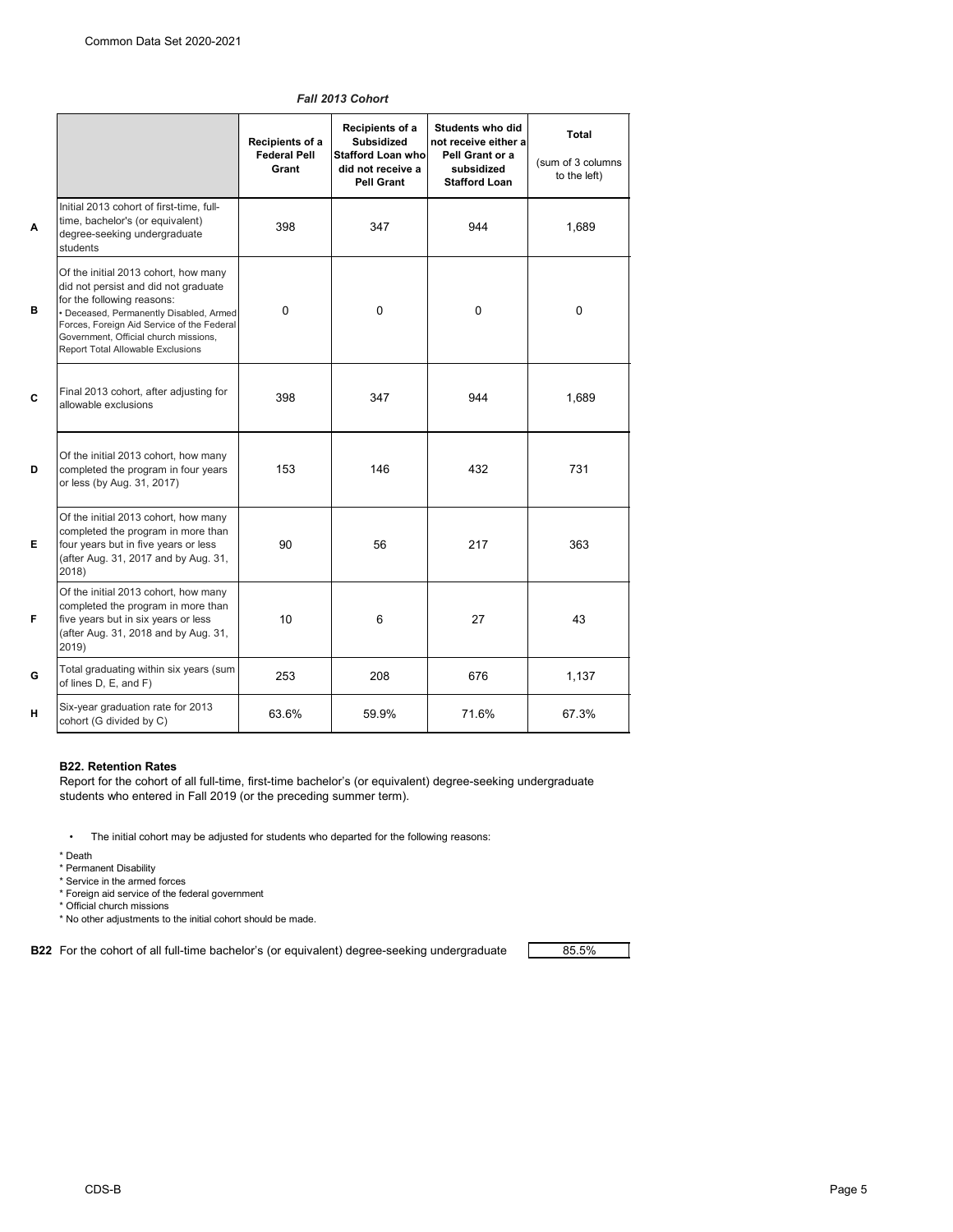|              |                                                                                                                                                                                                                                                                                          | Students who did<br><b>Recipients of a</b>      |                                                                                         |                                                                               |                                                   |  |
|--------------|------------------------------------------------------------------------------------------------------------------------------------------------------------------------------------------------------------------------------------------------------------------------------------------|-------------------------------------------------|-----------------------------------------------------------------------------------------|-------------------------------------------------------------------------------|---------------------------------------------------|--|
|              |                                                                                                                                                                                                                                                                                          | Recipients of a<br><b>Federal Pell</b><br>Grant | <b>Subsidized</b><br><b>Stafford Loan who</b><br>did not receive a<br><b>Pell Grant</b> | not receive either a<br>Pell Grant or a<br>subsidized<br><b>Stafford Loan</b> | <b>Total</b><br>(sum of 3 columns<br>to the left) |  |
| $\mathbf{A}$ | Initial 2013 cohort of first-time, full-<br>time, bachelor's (or equivalent)<br>degree-seeking undergraduate<br>students                                                                                                                                                                 | 398                                             | 347                                                                                     | 944                                                                           | 1,689                                             |  |
| B            | Of the initial 2013 cohort, how many<br>did not persist and did not graduate<br>for the following reasons:<br>· Deceased, Permanently Disabled, Armed<br>Forces, Foreign Aid Service of the Federal<br>Government, Official church missions,<br><b>Report Total Allowable Exclusions</b> | $\mathbf 0$                                     | $\mathbf 0$                                                                             | $\mathbf 0$                                                                   | $\mathbf 0$                                       |  |
| C            | Final 2013 cohort, after adjusting for<br>allowable exclusions                                                                                                                                                                                                                           | 398                                             | 347                                                                                     | 944                                                                           | 1,689                                             |  |
| D            | Of the initial 2013 cohort, how many<br>completed the program in four years<br>or less (by Aug. 31, 2017)                                                                                                                                                                                | 153                                             | 146                                                                                     | 432                                                                           | 731                                               |  |
| Е            | Of the initial 2013 cohort, how many<br>completed the program in more than<br>four years but in five years or less<br>(after Aug. 31, 2017 and by Aug. 31,<br>2018)                                                                                                                      | 90                                              | 56                                                                                      | 217                                                                           | 363                                               |  |
| F            | Of the initial 2013 cohort, how many<br>completed the program in more than<br>five years but in six years or less<br>(after Aug. 31, 2018 and by Aug. 31,<br>2019)                                                                                                                       | 10                                              | 6                                                                                       | 27                                                                            | 43                                                |  |
| G            | Total graduating within six years (sum<br>of lines D, E, and F)                                                                                                                                                                                                                          | 253                                             | 208                                                                                     | 676                                                                           | 1,137                                             |  |
| н            | Six-year graduation rate for 2013<br>cohort (G divided by C)                                                                                                                                                                                                                             | 63.6%                                           | 59.9%                                                                                   | 71.6%                                                                         | 67.3%                                             |  |

### *Fall 2013 Cohort*

## **B22. Retention Rates**

Report for the cohort of all full-time, first-time bachelor's (or equivalent) degree-seeking undergraduate students who entered in Fall 2019 (or the preceding summer term).

• The initial cohort may be adjusted for students who departed for the following reasons:

\* Death

- \* Permanent Disability
- \* Service in the armed forces
- \* Foreign aid service of the federal government
- \* Official church missions
- \* No other adjustments to the initial cohort should be made.

**B22** For the cohort of all full-time bachelor's (or equivalent) degree-seeking undergraduate **Fig.** 26.5%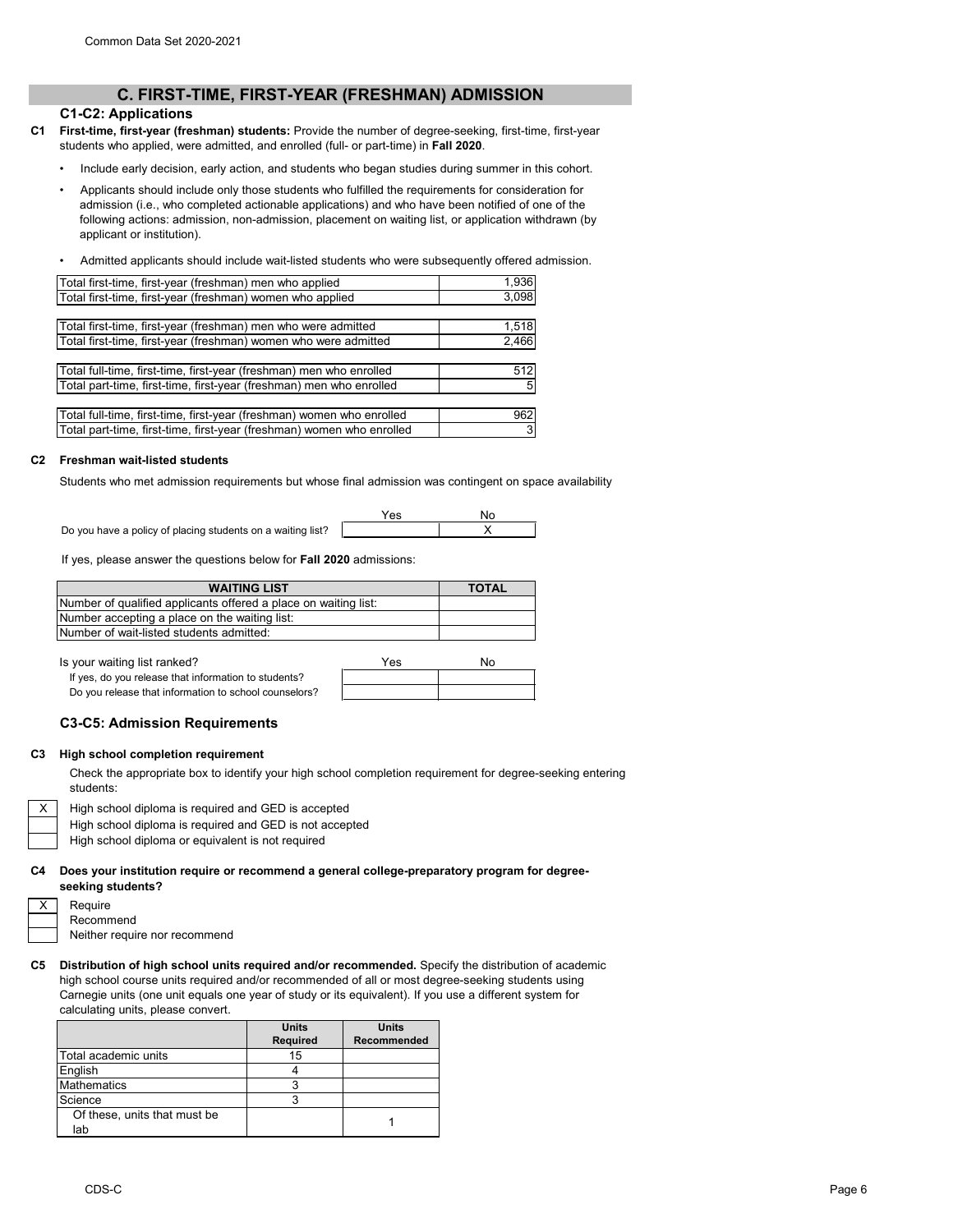# **C. FIRST-TIME, FIRST-YEAR (FRESHMAN) ADMISSION**

### **C1-C2: Applications**

- **C1 First-time, first-year (freshman) students:** Provide the number of degree-seeking, first-time, first-year students who applied, were admitted, and enrolled (full- or part-time) in **Fall 2020**.
	- Include early decision, early action, and students who began studies during summer in this cohort.
	- Applicants should include only those students who fulfilled the requirements for consideration for admission (i.e., who completed actionable applications) and who have been notified of one of the following actions: admission, non-admission, placement on waiting list, or application withdrawn (by applicant or institution).
	- Admitted applicants should include wait-listed students who were subsequently offered admission.

| Total first-time, first-year (freshman) men who applied               | 1,936 |
|-----------------------------------------------------------------------|-------|
| Total first-time, first-year (freshman) women who applied             | 3,098 |
|                                                                       |       |
| Total first-time, first-year (freshman) men who were admitted         | 1,518 |
| Total first-time, first-year (freshman) women who were admitted       | 2,466 |
|                                                                       |       |
| Total full-time, first-time, first-year (freshman) men who enrolled   | 512   |
| Total part-time, first-time, first-year (freshman) men who enrolled   | -51   |
|                                                                       |       |
| Total full-time, first-time, first-year (freshman) women who enrolled | 962   |

# **C2 Freshman wait-listed students**

Students who met admission requirements but whose final admission was contingent on space availability

|                                                             | √es | Nc |  |
|-------------------------------------------------------------|-----|----|--|
| Do you have a policy of placing students on a waiting list? |     |    |  |

3

If yes, please answer the questions below for **Fall 2020** admissions:

Total part-time, first-time, first-year (freshman) women who enrolled

| <b>WAITING LIST</b>                                             | <b>TOTAL</b> |
|-----------------------------------------------------------------|--------------|
| Number of qualified applicants offered a place on waiting list: |              |
| Number accepting a place on the waiting list:                   |              |
| Number of wait-listed students admitted:                        |              |

Is your waiting list ranked?

If yes, do you release that information to students? Do you release that information to school counselors?

| Yes | No |
|-----|----|
|     |    |
|     |    |

### **C3-C5: Admission Requirements**

#### **C3 High school completion requirement**

Check the appropriate box to identify your high school completion requirement for degree-seeking entering students:

High school diploma is required and GED is accepted

High school diploma is required and GED is not accepted

High school diploma or equivalent is not required

**C4 Does your institution require or recommend a general college-preparatory program for degreeseeking students?**

| Require   |
|-----------|
| Recommend |

X

Neither require nor recommend

#### **C5 Distribution of high school units required and/or recommended.** Specify the distribution of academic high school course units required and/or recommended of all or most degree-seeking students using Carnegie units (one unit equals one year of study or its equivalent). If you use a different system for calculating units, please convert.

|                              | <b>Units</b>    | <b>Units</b>       |
|------------------------------|-----------------|--------------------|
|                              | <b>Required</b> | <b>Recommended</b> |
| Total academic units         | 15              |                    |
| English                      |                 |                    |
| <b>Mathematics</b>           |                 |                    |
| Science                      |                 |                    |
| Of these, units that must be |                 |                    |
| lab                          |                 |                    |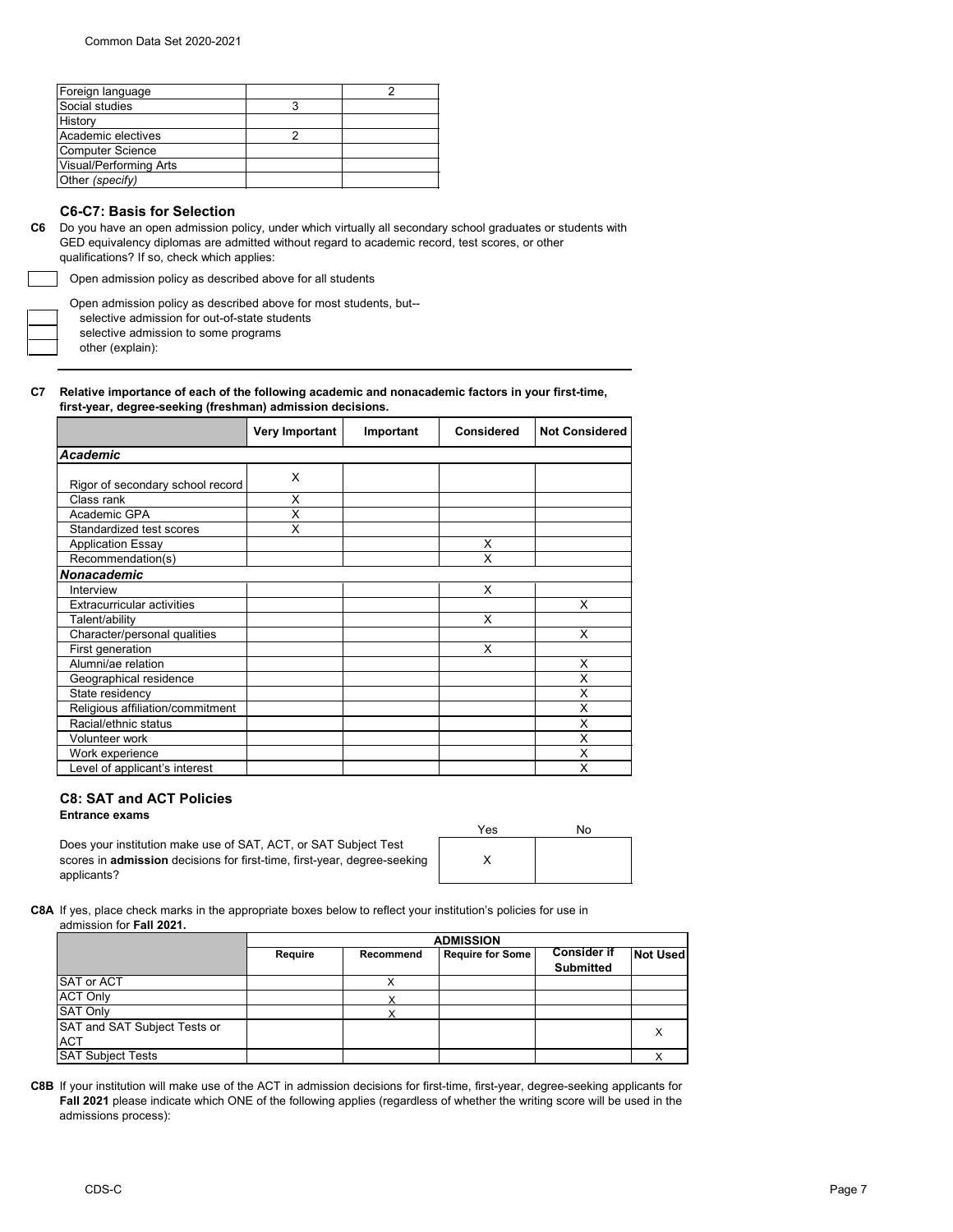| Foreign language              |  |
|-------------------------------|--|
| Social studies                |  |
| History                       |  |
| Academic electives            |  |
| <b>Computer Science</b>       |  |
| <b>Visual/Performing Arts</b> |  |
| Other (specify)               |  |

# **C6-C7: Basis for Selection**

**C6** Do you have an open admission policy, under which virtually all secondary school graduates or students with GED equivalency diplomas are admitted without regard to academic record, test scores, or other qualifications? If so, check which applies:

Open admission policy as described above for all students

Open admission policy as described above for most students, but--

selective admission for out-of-state students

selective admission to some programs

other (explain):

#### **C7 Relative importance of each of the following academic and nonacademic factors in your first-time, first-year, degree-seeking (freshman) admission decisions.**

|                                   | <b>Very Important</b> | Important | <b>Considered</b> | <b>Not Considered</b> |
|-----------------------------------|-----------------------|-----------|-------------------|-----------------------|
| <b>Academic</b>                   |                       |           |                   |                       |
|                                   | X                     |           |                   |                       |
| Rigor of secondary school record  |                       |           |                   |                       |
| Class rank                        | X                     |           |                   |                       |
| Academic GPA                      | X                     |           |                   |                       |
| Standardized test scores          | X                     |           |                   |                       |
| <b>Application Essay</b>          |                       |           | Χ                 |                       |
| Recommendation(s)                 |                       |           | X                 |                       |
| <b>Nonacademic</b>                |                       |           |                   |                       |
| Interview                         |                       |           | X                 |                       |
| <b>Extracurricular activities</b> |                       |           |                   | X                     |
| Talent/ability                    |                       |           | X                 |                       |
| Character/personal qualities      |                       |           |                   | X                     |
| First generation                  |                       |           | X                 |                       |
| Alumni/ae relation                |                       |           |                   | X                     |
| Geographical residence            |                       |           |                   | X                     |
| State residency                   |                       |           |                   | X                     |
| Religious affiliation/commitment  |                       |           |                   | X                     |
| Racial/ethnic status              |                       |           |                   | X                     |
| Volunteer work                    |                       |           |                   | X                     |
| Work experience                   |                       |           |                   | X                     |
| Level of applicant's interest     |                       |           |                   | X                     |

# **C8: SAT and ACT Policies**

**Entrance exams** 

Does your institution make use of SAT, ACT, or SAT Subject Test scores in **admission** decisions for first-time, first-year, degree-seeking applicants?

| Yes | No |
|-----|----|
|     |    |

**C8A** If yes, place check marks in the appropriate boxes below to reflect your institution's policies for use in admission for **Fall 2021.**

|                              | <b>ADMISSION</b> |                  |                         |                                        |                 |
|------------------------------|------------------|------------------|-------------------------|----------------------------------------|-----------------|
|                              | <b>Require</b>   | <b>Recommend</b> | <b>Require for Some</b> | <b>Consider if</b><br><b>Submitted</b> | <b>Not Used</b> |
| SAT or ACT                   |                  |                  |                         |                                        |                 |
| <b>ACT Only</b>              |                  |                  |                         |                                        |                 |
| <b>SAT Only</b>              |                  |                  |                         |                                        |                 |
| SAT and SAT Subject Tests or |                  |                  |                         |                                        |                 |
| <b>ACT</b>                   |                  |                  |                         |                                        |                 |
| <b>SAT Subject Tests</b>     |                  |                  |                         |                                        |                 |

**C8B** If your institution will make use of the ACT in admission decisions for first-time, first-year, degree-seeking applicants for **Fall 2021** please indicate which ONE of the following applies (regardless of whether the writing score will be used in the admissions process):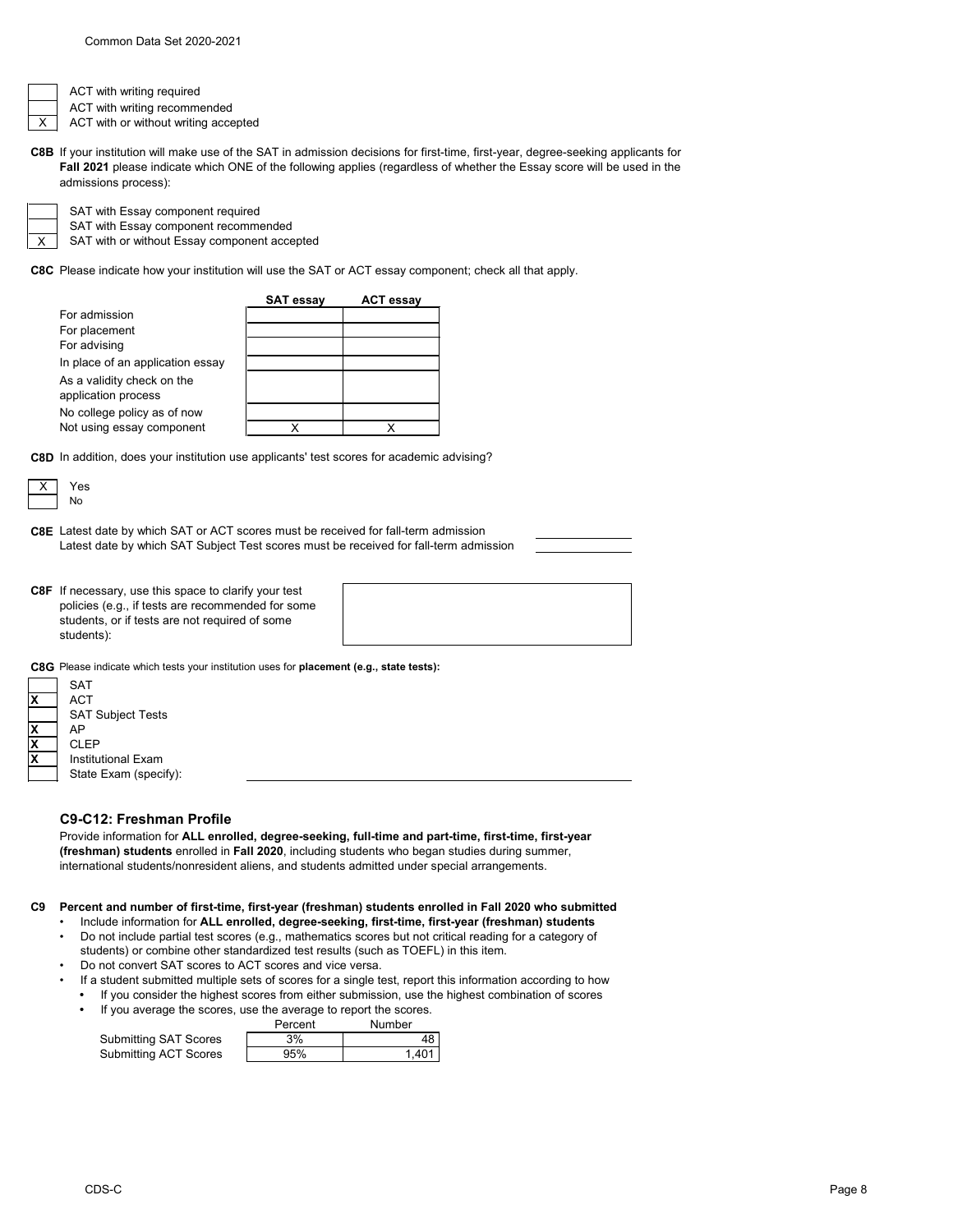

ACT with writing required

ACT with writing recommended ACT with or without writing accepted

**C8B** If your institution will make use of the SAT in admission decisions for first-time, first-year, degree-seeking applicants for **Fall 2021** please indicate which ONE of the following applies (regardless of whether the Essay score will be used in the admissions process):



SAT with Essay component required

SAT with or without Essay component accepted SAT with Essay component recommended

**C8C** Please indicate how your institution will use the SAT or ACT essay component; check all that apply.



**C8D** In addition, does your institution use applicants' test scores for academic advising?



**C8E** Latest date by which SAT or ACT scores must be received for fall-term admission Latest date by which SAT Subject Test scores must be received for fall-term admission

**C8F** If necessary, use this space to clarify your test policies (e.g., if tests are recommended for some students, or if tests are not required of some students):



**C8G** Please indicate which tests your institution uses for **placement (e.g., state tests):**

|   | <b>SAT</b>               |
|---|--------------------------|
|   | <b>ACT</b>               |
|   | <b>SAT Subject Tests</b> |
| χ | AP                       |
| χ | CLEP                     |
| χ | Institutional Exam       |
|   | State Exam (specify):    |
|   |                          |

# **C9-C12: Freshman Profile**

Provide information for **ALL enrolled, degree-seeking, full-time and part-time, first-time, first-year (freshman) students** enrolled in **Fall 2020**, including students who began studies during summer, international students/nonresident aliens, and students admitted under special arrangements.

#### **C9 Percent and number of first-time, first-year (freshman) students enrolled in Fall 2020 who submitted**

- Include information for **ALL enrolled, degree-seeking, first-time, first-year (freshman) students** • Do not include partial test scores (e.g., mathematics scores but not critical reading for a category of
- students) or combine other standardized test results (such as TOEFL) in this item. • Do not convert SAT scores to ACT scores and vice versa.
- If a student submitted multiple sets of scores for a single test, report this information according to how
- **•** If you consider the highest scores from either submission, use the highest combination of scores
- Percent Number **•** If you average the scores, use the average to report the scores.

|                              | <u>Feirchil</u> | nuunde |
|------------------------------|-----------------|--------|
| <b>Submitting SAT Scores</b> | 3%              |        |
| <b>Submitting ACT Scores</b> | 95%             | 1.401  |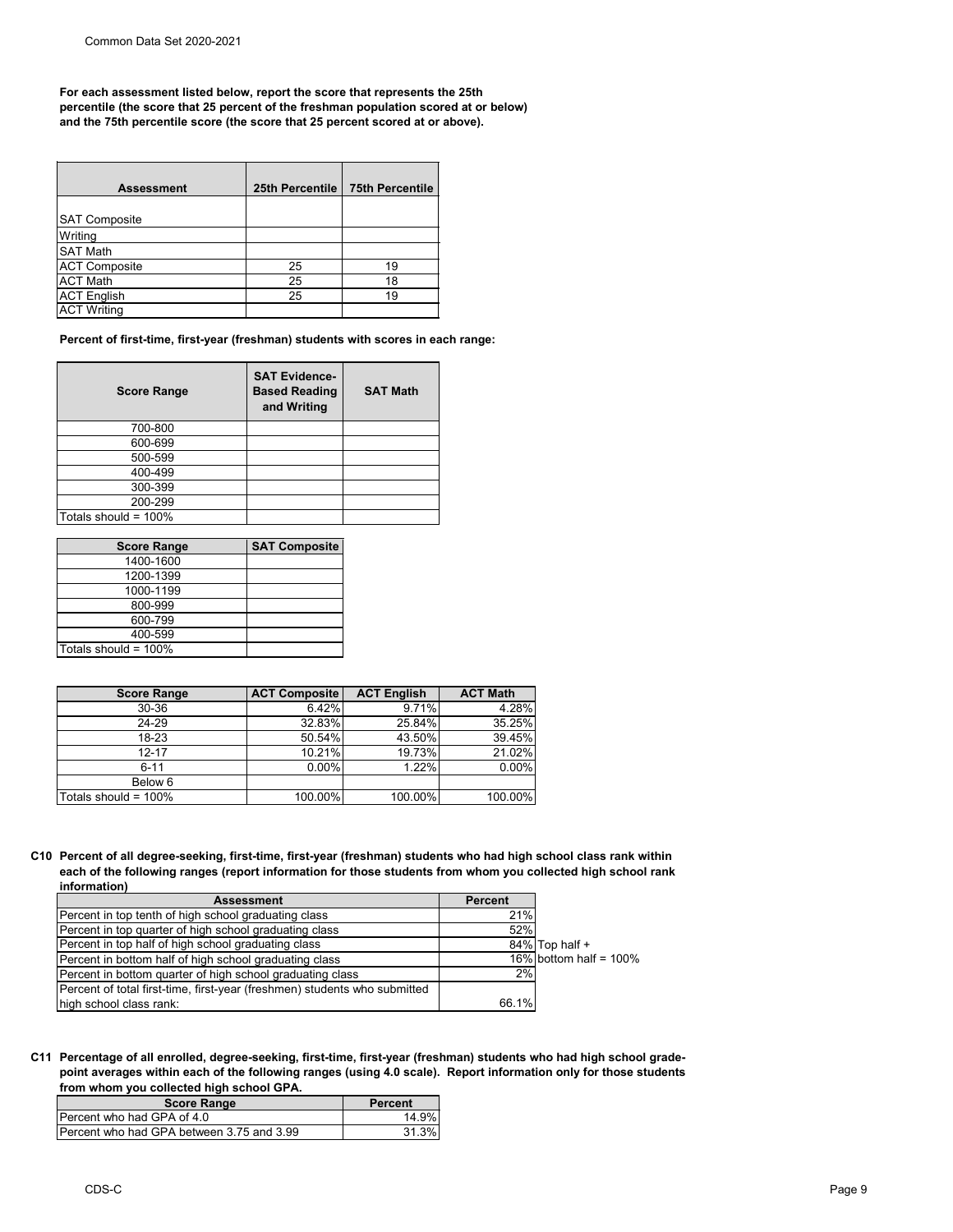**For each assessment listed below, report the score that represents the 25th percentile (the score that 25 percent of the freshman population scored at or below) and the 75th percentile score (the score that 25 percent scored at or above).**

| <b>Assessment</b>    | 25th Percentile | <b>75th Percentile</b> |
|----------------------|-----------------|------------------------|
| <b>SAT Composite</b> |                 |                        |
| Writing              |                 |                        |
| <b>SAT Math</b>      |                 |                        |
| <b>ACT Composite</b> | 25              | 19                     |
| <b>ACT Math</b>      | 25              | 18                     |
| <b>ACT English</b>   | 25              | 19                     |
| <b>ACT Writing</b>   |                 |                        |

**Percent of first-time, first-year (freshman) students with scores in each range:**

| <b>Score Range</b>   | <b>SAT Evidence-</b><br><b>Based Reading</b><br>and Writing | <b>SAT Math</b> |
|----------------------|-------------------------------------------------------------|-----------------|
| 700-800              |                                                             |                 |
| 600-699              |                                                             |                 |
| 500-599              |                                                             |                 |
| 400-499              |                                                             |                 |
| 300-399              |                                                             |                 |
| 200-299              |                                                             |                 |
| Totals should = 100% |                                                             |                 |

| <b>Score Range</b>      | <b>SAT Composite</b> |
|-------------------------|----------------------|
| 1400-1600               |                      |
| 1200-1399               |                      |
| 1000-1199               |                      |
| 800-999                 |                      |
| 600-799                 |                      |
| 400-599                 |                      |
| Totals should = $100\%$ |                      |

| <b>Score Range</b>   | <b>ACT Composite</b> | <b>ACT English</b> | <b>ACT Math</b> |
|----------------------|----------------------|--------------------|-----------------|
| 30-36                | 6.42%                | 9.71%              | 4.28%           |
| 24-29                | 32.83%               | 25.84%             | 35.25%          |
| $18 - 23$            | 50.54%               | 43.50%             | 39.45%          |
| $12 - 17$            | 10.21%               | 19.73%             | 21.02%          |
| $6 - 11$             | 0.00%                | 1.22%              | 0.00%           |
| Below 6              |                      |                    |                 |
| Totals should = 100% | 100.00%              | 100.00%            | 100.00%         |

**C10 Percent of all degree-seeking, first-time, first-year (freshman) students who had high school class rank within each of the following ranges (report information for those students from whom you collected high school rank information)**

| <b>Assessment</b>                                                         | <b>Percent</b> |                           |
|---------------------------------------------------------------------------|----------------|---------------------------|
| Percent in top tenth of high school graduating class                      | 21%            |                           |
| Percent in top quarter of high school graduating class                    | 52%            |                           |
| Percent in top half of high school graduating class                       |                | 84% Top half +            |
| Percent in bottom half of high school graduating class                    |                | 16% bottom half = $100\%$ |
| Percent in bottom quarter of high school graduating class                 | 2%             |                           |
| Percent of total first-time, first-year (freshmen) students who submitted |                |                           |
| high school class rank:                                                   | 66.1%          |                           |

**C11 Percentage of all enrolled, degree-seeking, first-time, first-year (freshman) students who had high school gradepoint averages within each of the following ranges (using 4.0 scale). Report information only for those students from whom you collected high school GPA.**

| <b>Score Range</b>                        | <b>Percent</b> |
|-------------------------------------------|----------------|
| Percent who had GPA of 4.0                | 14.9%।         |
| Percent who had GPA between 3.75 and 3.99 | 31.3%L         |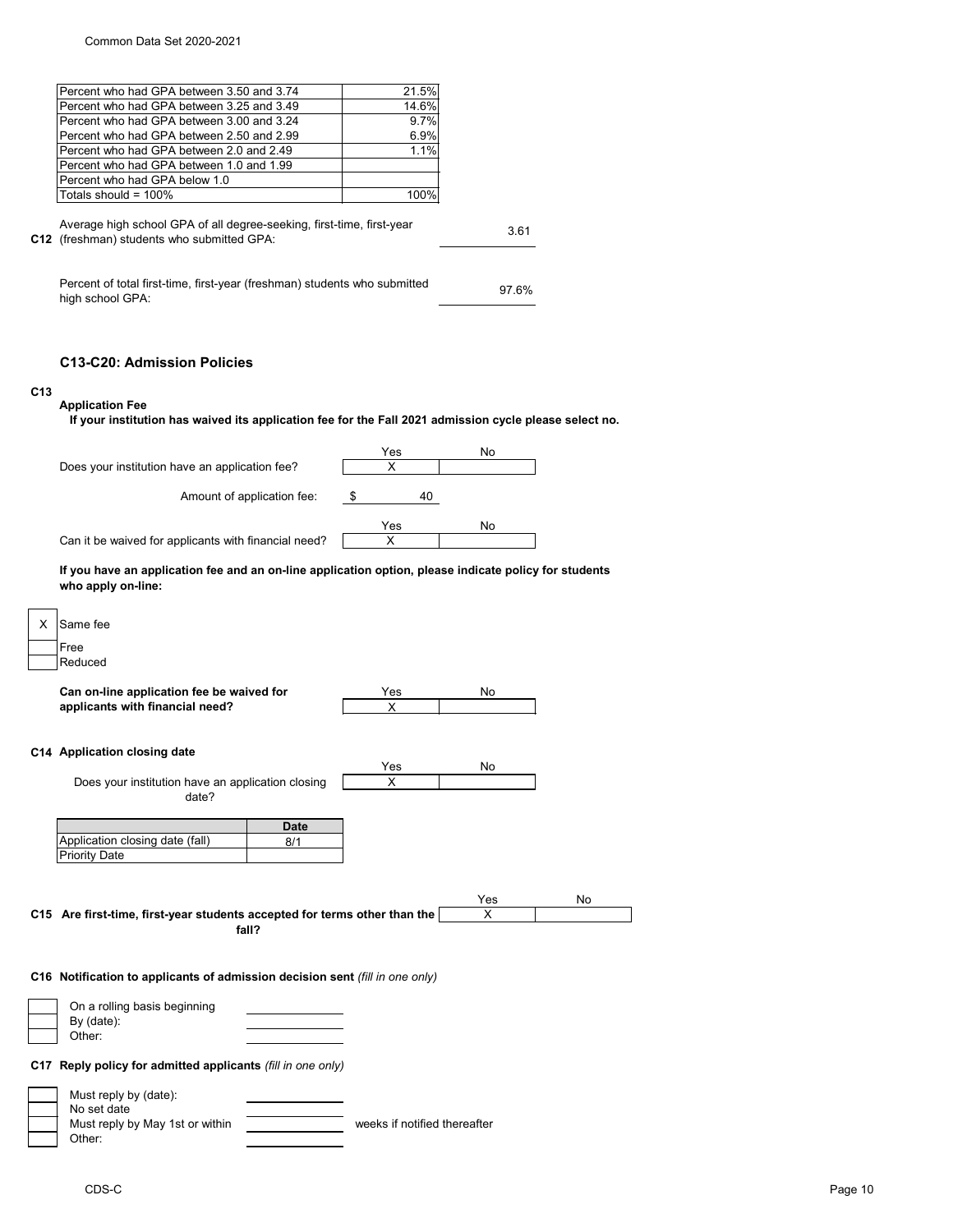|                 | Percent who had GPA between 3.50 and 3.74                                                                           | 21.5%                        |       |    |
|-----------------|---------------------------------------------------------------------------------------------------------------------|------------------------------|-------|----|
|                 | Percent who had GPA between 3.25 and 3.49                                                                           | 14.6%                        |       |    |
|                 | Percent who had GPA between 3.00 and 3.24                                                                           | 9.7%                         |       |    |
|                 | Percent who had GPA between 2.50 and 2.99                                                                           | 6.9%                         |       |    |
|                 | Percent who had GPA between 2.0 and 2.49                                                                            | 1.1%                         |       |    |
|                 | Percent who had GPA between 1.0 and 1.99                                                                            |                              |       |    |
|                 | Percent who had GPA below 1.0                                                                                       |                              |       |    |
|                 | Totals should = $100\%$                                                                                             | 100%                         |       |    |
|                 | Average high school GPA of all degree-seeking, first-time, first-year<br>C12 (freshman) students who submitted GPA: |                              | 3.61  |    |
|                 | Percent of total first-time, first-year (freshman) students who submitted<br>high school GPA:                       |                              | 97.6% |    |
| C <sub>13</sub> | <b>C13-C20: Admission Policies</b><br><b>Application Fee</b>                                                        |                              |       |    |
|                 | If your institution has waived its application fee for the Fall 2021 admission cycle please select no.              |                              |       |    |
|                 |                                                                                                                     | Yes                          | No    |    |
|                 | Does your institution have an application fee?                                                                      | $\times$                     |       |    |
|                 |                                                                                                                     | 40                           |       |    |
|                 | Amount of application fee:                                                                                          | \$                           |       |    |
|                 |                                                                                                                     | Yes                          | No    |    |
|                 | Can it be waived for applicants with financial need?                                                                | X                            |       |    |
| X.              | Same fee<br>Free<br>Reduced                                                                                         |                              |       |    |
|                 |                                                                                                                     |                              |       |    |
|                 | Can on-line application fee be waived for                                                                           | Yes                          | No    |    |
|                 | applicants with financial need?                                                                                     | X                            |       |    |
|                 | C14 Application closing date                                                                                        |                              |       |    |
|                 |                                                                                                                     | Yes                          | No    |    |
|                 | Does your institution have an application closing                                                                   | $\pmb{\times}$               |       |    |
|                 | date?                                                                                                               |                              |       |    |
|                 | <b>Date</b>                                                                                                         |                              |       |    |
|                 | Application closing date (fall)<br>8/1                                                                              |                              |       |    |
|                 | <b>Priority Date</b>                                                                                                |                              |       |    |
|                 |                                                                                                                     |                              |       |    |
|                 |                                                                                                                     |                              |       |    |
|                 |                                                                                                                     |                              | Yes   | No |
|                 | C15 Are first-time, first-year students accepted for terms other than the                                           |                              | X     |    |
|                 | fall?                                                                                                               |                              |       |    |
|                 |                                                                                                                     |                              |       |    |
|                 | C16 Notification to applicants of admission decision sent (fill in one only)                                        |                              |       |    |
|                 |                                                                                                                     |                              |       |    |
|                 | On a rolling basis beginning                                                                                        |                              |       |    |
|                 | By (date):                                                                                                          |                              |       |    |
|                 | Other:                                                                                                              |                              |       |    |
|                 | C17 Reply policy for admitted applicants (fill in one only)                                                         |                              |       |    |
|                 |                                                                                                                     |                              |       |    |
|                 | Must reply by (date):<br>No set date                                                                                |                              |       |    |
|                 | Must reply by May 1st or within                                                                                     | weeks if notified thereafter |       |    |
|                 | Other:                                                                                                              |                              |       |    |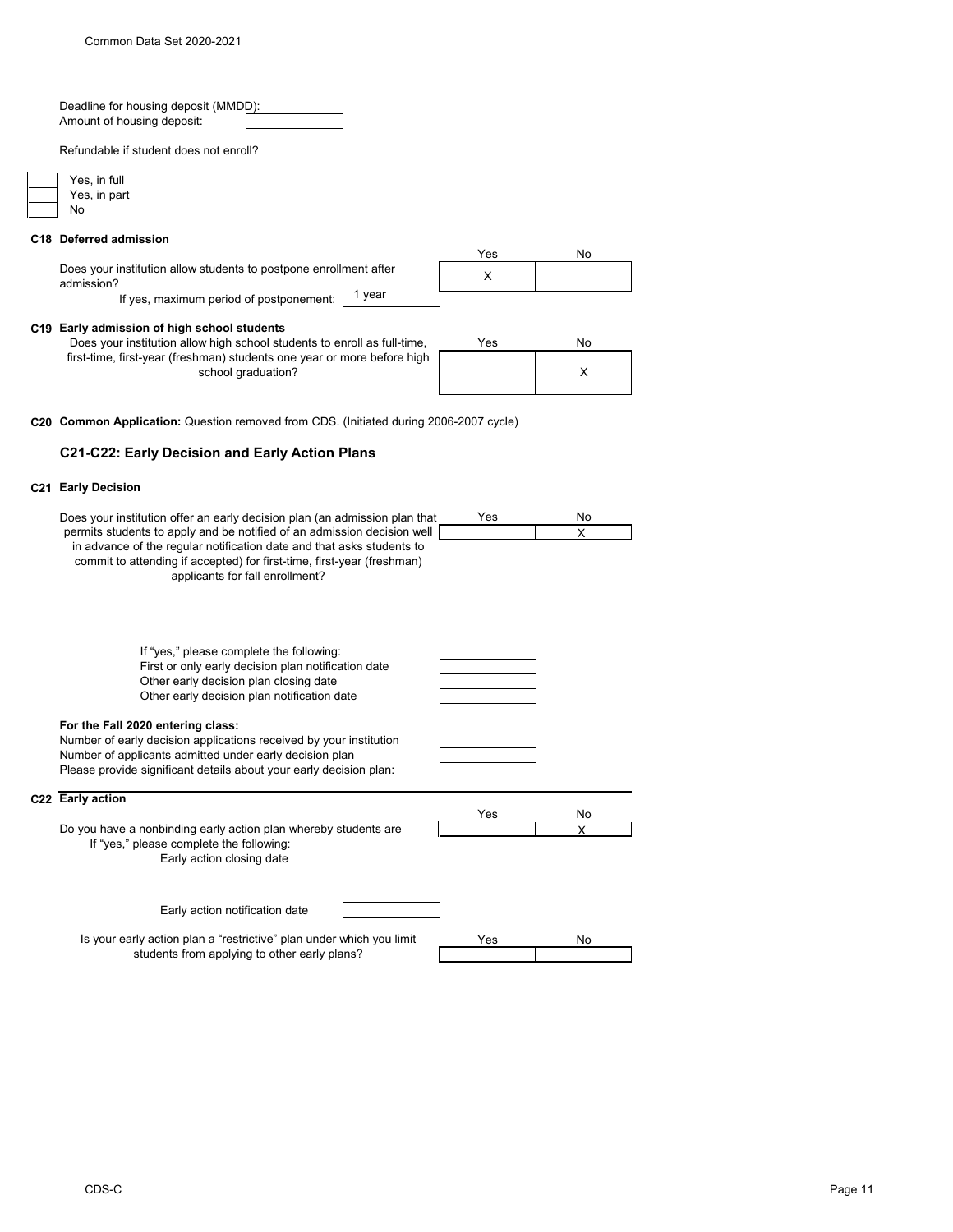Deadline for housing deposit (MMDD): Amount of housing deposit:

Refundable if student does not enroll?

| Yes, in |
|---------|
| Yes, in |
| Nο      |

# **C18 Deferred admission**

full part

|                                                                                 | Yes | No. |
|---------------------------------------------------------------------------------|-----|-----|
| Does your institution allow students to postpone enrollment after<br>admission? |     |     |
| vear<br>If yes, maximum period of postponement:                                 |     |     |

### **C19 Early admission of high school students**

| Does your institution allow high school students to enroll as full-time,                      | Yes | No |
|-----------------------------------------------------------------------------------------------|-----|----|
| first-time, first-year (freshman) students one year or more before high<br>school graduation? |     |    |

**C20 Common Application:** Question removed from CDS. (Initiated during 2006-2007 cycle)

# **C21-C22: Early Decision and Early Action Plans**

## **C21 Early Decision**

| Does your institution offer an early decision plan (an admission plan that                                                                                                                                                                                    | Yes | No      |
|---------------------------------------------------------------------------------------------------------------------------------------------------------------------------------------------------------------------------------------------------------------|-----|---------|
| permits students to apply and be notified of an admission decision well<br>in advance of the regular notification date and that asks students to<br>commit to attending if accepted) for first-time, first-year (freshman)<br>applicants for fall enrollment? |     | X       |
| If "yes," please complete the following:<br>First or only early decision plan notification date<br>Other early decision plan closing date<br>Other early decision plan notification date                                                                      |     |         |
| For the Fall 2020 entering class:<br>Number of early decision applications received by your institution<br>Number of applicants admitted under early decision plan<br>Please provide significant details about your early decision plan:                      |     |         |
| C22 Early action                                                                                                                                                                                                                                              |     |         |
| Do you have a nonbinding early action plan whereby students are<br>If "yes," please complete the following:<br>Early action closing date                                                                                                                      | Yes | No<br>X |
| Early action notification date                                                                                                                                                                                                                                |     |         |
| Is your early action plan a "restrictive" plan under which you limit<br>students from applying to other early plans?                                                                                                                                          | Yes | No      |
|                                                                                                                                                                                                                                                               |     |         |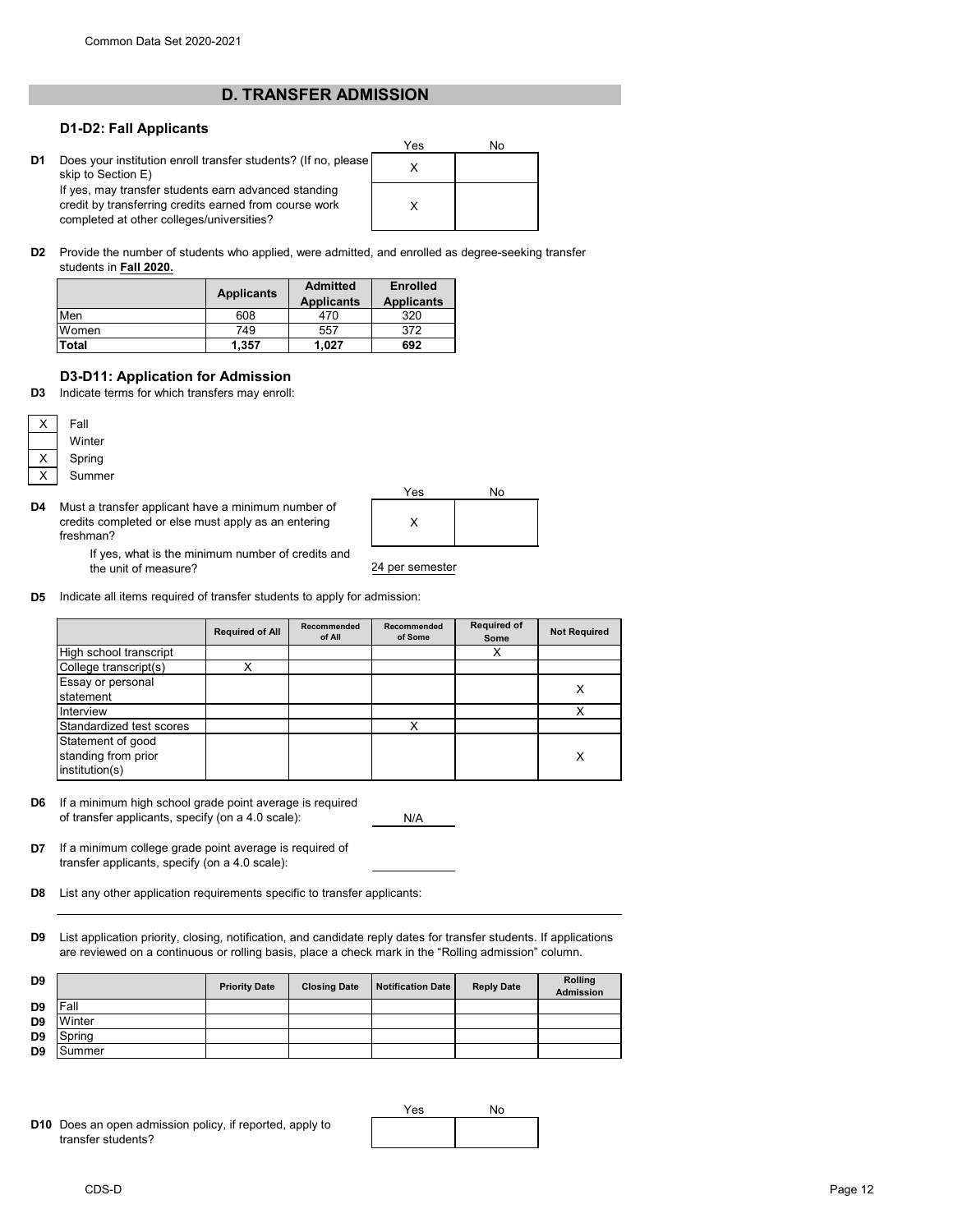# **D. TRANSFER ADMISSION**

# **D1-D2: Fall Applicants**

**D1** Does your institution enroll transfer students? (If no, please  $\begin{array}{ccc} \times \end{array}$ skip to Section E) If yes, may transfer students earn advanced standing credit by transferring credits earned from course work completed at other colleges/universities?

| Yes | No |
|-----|----|
| Χ   |    |
| X   |    |

**D2** Provide the number of students who applied, were admitted, and enrolled as degree-seeking transfer students in **Fall 2020.**

|              | <b>Applicants</b> | <b>Admitted</b><br><b>Applicants</b> | <b>Enrolled</b><br><b>Applicants</b> |
|--------------|-------------------|--------------------------------------|--------------------------------------|
| Men          | 608               | 470                                  | 320                                  |
| Women        | 749               | 557                                  | 372                                  |
| <b>Total</b> | 1,357             | 1.027                                | 692                                  |

# **D3-D11: Application for Admission**

**D3** Indicate terms for which transfers may enroll:

| Fall |  |
|------|--|
| Wint |  |
| Spri |  |
| Sum  |  |

ter ing

nmer

**D4** Must a transfer applicant have a minimum number of credits completed or else must apply as an entering freshman?



If yes, what is the minimum number of credits and the unit of measure?

**D5** Indicate all items required of transfer students to apply for admission:

|                                                            | <b>Required of All</b> | Recommended<br>of All | Recommended<br>of Some | <b>Required of</b><br>Some | <b>Not Required</b> |
|------------------------------------------------------------|------------------------|-----------------------|------------------------|----------------------------|---------------------|
| High school transcript                                     |                        |                       |                        | х                          |                     |
| College transcript(s)                                      |                        |                       |                        |                            |                     |
| Essay or personal<br>statement                             |                        |                       |                        |                            | х                   |
| Interview                                                  |                        |                       |                        |                            | X                   |
| Standardized test scores                                   |                        |                       | x                      |                            |                     |
| Statement of good<br>standing from prior<br>institution(s) |                        |                       |                        |                            | X                   |

**D6** If a minimum high school grade point average is required of transfer applicants, specify (on a 4.0 scale):

N/A

- **D7** If a minimum college grade point average is required of transfer applicants, specify (on a 4.0 scale):
- **D8** List any other application requirements specific to transfer applicants:
- **D9** List application priority, closing, notification, and candidate reply dates for transfer students. If applications are reviewed on a continuous or rolling basis, place a check mark in the "Rolling admission" column.

| D <sub>9</sub> |        | <b>Priority Date</b> | <b>Closing Date</b> | <b>Notification Date</b> | <b>Reply Date</b> | <b>Rolling</b><br><b>Admission</b> |
|----------------|--------|----------------------|---------------------|--------------------------|-------------------|------------------------------------|
| D <sub>9</sub> | Fall   |                      |                     |                          |                   |                                    |
| D <sub>9</sub> | Winter |                      |                     |                          |                   |                                    |
| D <sub>9</sub> | Spring |                      |                     |                          |                   |                                    |
| D <sub>9</sub> | Summer |                      |                     |                          |                   |                                    |

**D10** Does an open admission policy, if reported, apply to transfer students?

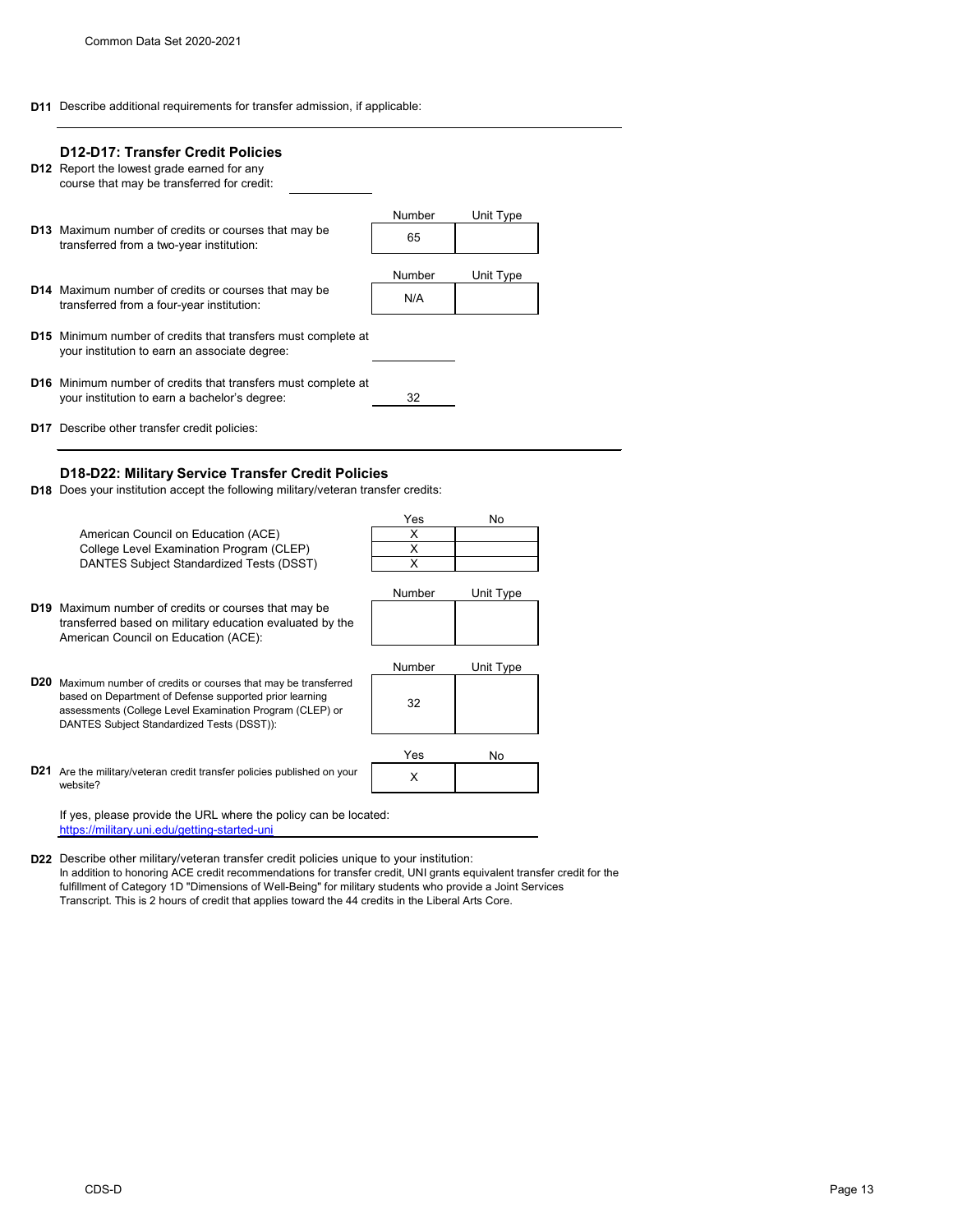**D11** Describe additional requirements for transfer admission, if applicable:

|     | <b>D12-D17: Transfer Credit Policies</b><br><b>D12</b> Report the lowest grade earned for any<br>course that may be transferred for credit: |               |           |  |
|-----|---------------------------------------------------------------------------------------------------------------------------------------------|---------------|-----------|--|
|     | <b>D13</b> Maximum number of credits or courses that may be<br>transferred from a two-year institution:                                     | Number<br>65  | Unit Type |  |
|     |                                                                                                                                             | <b>Number</b> | Unit Type |  |
|     | <b>D14</b> Maximum number of credits or courses that may be<br>transferred from a four-year institution:                                    | N/A           |           |  |
|     | <b>D15</b> Minimum number of credits that transfers must complete at<br>your institution to earn an associate degree:                       |               |           |  |
|     | <b>D16</b> Minimum number of credits that transfers must complete at<br>your institution to earn a bachelor's degree:                       | 32            |           |  |
|     | <b>D17</b> Describe other transfer credit policies:                                                                                         |               |           |  |
| D18 | D18-D22: Military Service Transfer Credit Policies<br>Does your institution accept the following military/veteran transfer credits:         |               |           |  |
|     |                                                                                                                                             | Yes           | No        |  |

|                 |                                                                     | - ט    | IV        |
|-----------------|---------------------------------------------------------------------|--------|-----------|
|                 | American Council on Education (ACE)                                 | X      |           |
|                 | College Level Examination Program (CLEP)                            | X      |           |
|                 | DANTES Subject Standardized Tests (DSST)                            | X      |           |
|                 |                                                                     |        |           |
|                 |                                                                     | Number | Unit Type |
|                 | <b>D19</b> Maximum number of credits or courses that may be         |        |           |
|                 | transferred based on military education evaluated by the            |        |           |
|                 | American Council on Education (ACE):                                |        |           |
|                 |                                                                     |        |           |
|                 |                                                                     | Number | Unit Type |
| D20             | Maximum number of credits or courses that may be transferred        |        |           |
|                 | based on Department of Defense supported prior learning             | 32     |           |
|                 | assessments (College Level Examination Program (CLEP) or            |        |           |
|                 | DANTES Subject Standardized Tests (DSST)):                          |        |           |
|                 |                                                                     |        |           |
|                 |                                                                     | Yes    | No.       |
| D <sub>21</sub> | Are the military/veteran credit transfer policies published on your | X      |           |
|                 | website?                                                            |        |           |
|                 |                                                                     |        |           |
|                 | If yes, please provide the URL where the policy can be located:     |        |           |
|                 | https://military.uni.edu/getting-started-uni                        |        |           |

**D22** Describe other military/veteran transfer credit policies unique to your institution: In addition to honoring ACE credit recommendations for transfer credit, UNI grants equivalent transfer credit for the fulfillment of Category 1D "Dimensions of Well-Being" for military students who provide a Joint Services Transcript. This is 2 hours of credit that applies toward the 44 credits in the Liberal Arts Core.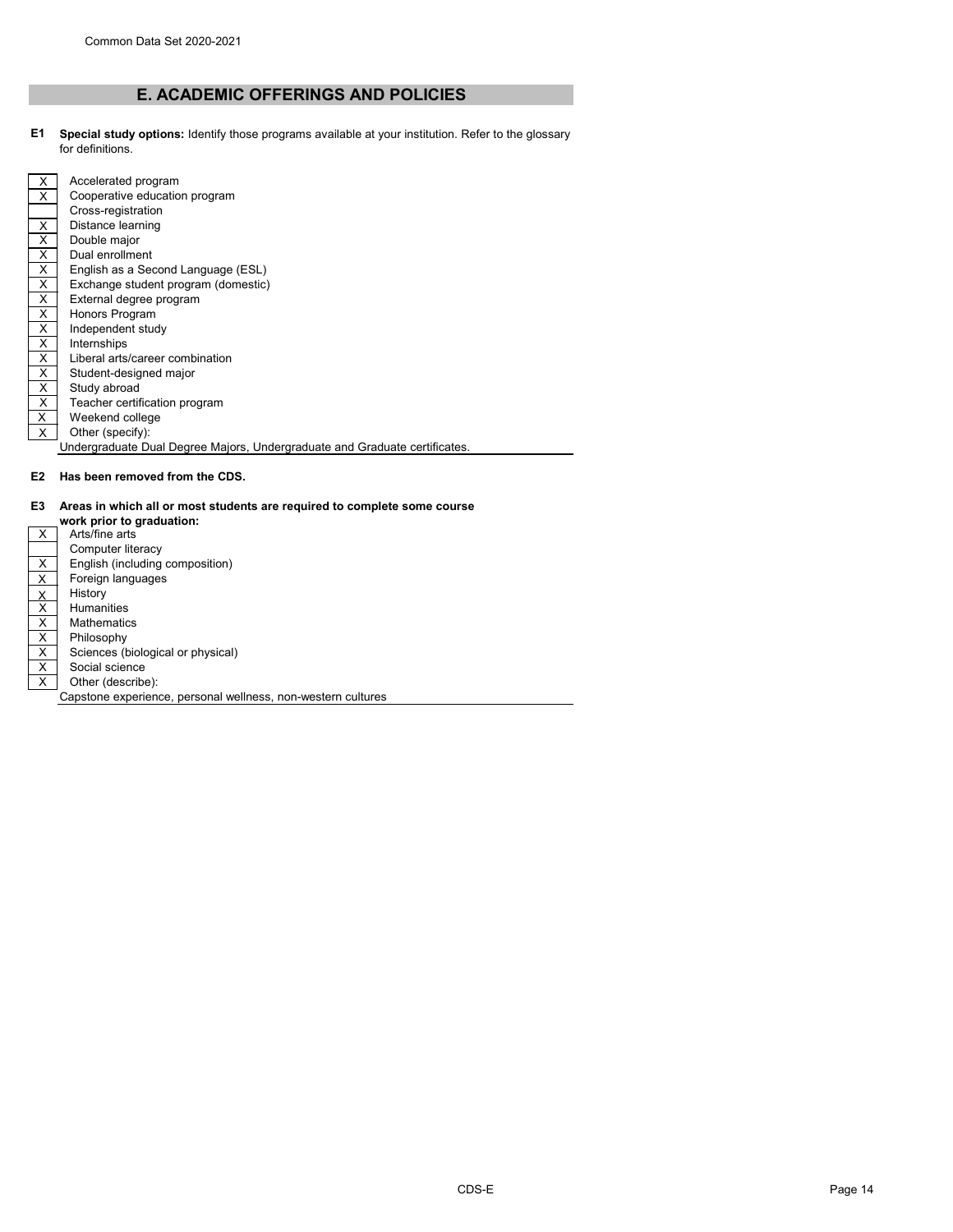# **E. ACADEMIC OFFERINGS AND POLICIES**

**E1 Special study options:** Identify those programs available at your institution. Refer to the glossary for definitions.

| X. | Accelerated program                                                        |
|----|----------------------------------------------------------------------------|
| X  | Cooperative education program                                              |
|    | Cross-registration                                                         |
| X. | Distance learning                                                          |
| X. | Double major                                                               |
| X  | Dual enrollment                                                            |
| X  | English as a Second Language (ESL)                                         |
| X  | Exchange student program (domestic)                                        |
| X  | External degree program                                                    |
| X  | Honors Program                                                             |
| X  | Independent study                                                          |
| X  | Internships                                                                |
| X  | Liberal arts/career combination                                            |
| X  | Student-designed major                                                     |
| X  | Study abroad                                                               |
| X  | Teacher certification program                                              |
| X  | Weekend college                                                            |
| X. | Other (specify):                                                           |
|    | Undergraduate Dual Degree Majors, Undergraduate and Graduate certificates. |
|    |                                                                            |

**E2 Has been removed from the CDS.**

# **E3 Areas in which all or most students are required to complete some course**

|              | work prior to graduation:                                    |
|--------------|--------------------------------------------------------------|
| X.           | Arts/fine arts                                               |
|              | Computer literacy                                            |
| X            | English (including composition)                              |
| X            | Foreign languages                                            |
| X            | History                                                      |
| X            | <b>Humanities</b>                                            |
| X            | <b>Mathematics</b>                                           |
| X            | Philosophy                                                   |
| X            | Sciences (biological or physical)                            |
| X            | Social science                                               |
| $\mathsf{X}$ | Other (describe):                                            |
|              | Capstone experience, personal wellness, non-western cultures |
|              |                                                              |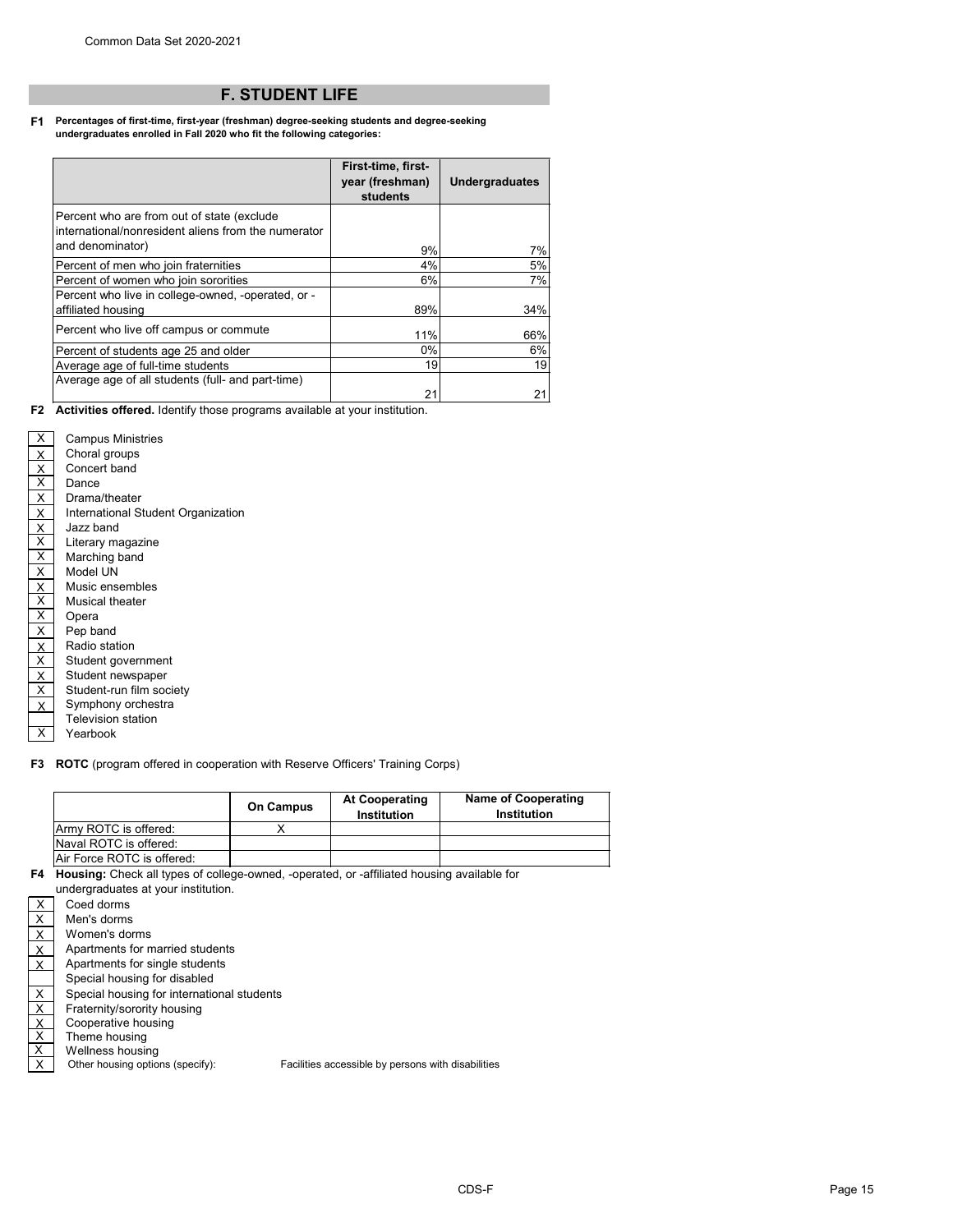# **F. STUDENT LIFE**

#### **F1 Percentages of first-time, first-year (freshman) degree-seeking students and degree-seeking undergraduates enrolled in Fall 2020 who fit the following categories:**

|                                                                                                   | First-time, first-<br>year (freshman)<br>students | <b>Undergraduates</b> |
|---------------------------------------------------------------------------------------------------|---------------------------------------------------|-----------------------|
| Percent who are from out of state (exclude<br>international/nonresident aliens from the numerator |                                                   |                       |
| and denominator)                                                                                  | 9%                                                | 7%                    |
| Percent of men who join fraternities                                                              | 4%                                                | 5%                    |
| Percent of women who join sororities                                                              | 6%                                                | 7%                    |
| Percent who live in college-owned, -operated, or -                                                |                                                   |                       |
| affiliated housing                                                                                | 89%                                               | 34%                   |
| Percent who live off campus or commute                                                            | 11%                                               | 66%                   |
| Percent of students age 25 and older                                                              | 0%                                                | 6%                    |
| Average age of full-time students                                                                 | 19                                                | 19                    |
| Average age of all students (full- and part-time)                                                 |                                                   |                       |
|                                                                                                   | 21                                                |                       |

**F2 Activities offered.** Identify those programs available at your institution.

| х                                   | <b>Campus Ministries</b>           |
|-------------------------------------|------------------------------------|
|                                     | Choral groups                      |
| $\frac{X}{X}$                       | Concert band                       |
| $\overline{\mathsf{X}}$             | Dance                              |
| $\overline{X}$                      | Drama/theater                      |
|                                     | International Student Organization |
| $\frac{X}{X}$                       | Jazz band                          |
|                                     | Literary magazine                  |
| $\overline{\mathsf{X}}$             | Marching band                      |
| $\overline{\mathsf{x}}$             | Model UN                           |
| $rac{X}{X}$                         | Music ensembles                    |
|                                     | <b>Musical theater</b>             |
| $\overline{\mathsf{x}}$             | Opera                              |
| $\mathsf{\overline{X}}$             | Pep band                           |
| $\overline{\mathsf{x}}$             | Radio station                      |
| $\overline{\underline{X}}$          | Student government                 |
| $\frac{\overline{X}}{\overline{X}}$ | Student newspaper                  |
|                                     | Student-run film society           |
| X                                   | Symphony orchestra                 |
|                                     | <b>Television station</b>          |
| х                                   | Yearbook                           |
|                                     |                                    |

**F3 ROTC** (program offered in cooperation with Reserve Officers' Training Corps)

|                               | <b>On Campus</b> | <b>At Cooperating</b><br><b>Institution</b> | <b>Name of Cooperating</b><br><b>Institution</b> |
|-------------------------------|------------------|---------------------------------------------|--------------------------------------------------|
| Army ROTC is offered:         |                  |                                             |                                                  |
| <b>Naval ROTC is offered:</b> |                  |                                             |                                                  |
| IAir Force ROTC is offered:   |                  |                                             |                                                  |

**F4 Housing:** Check all types of college-owned, -operated, or -affiliated housing available for

|                                 | undergraduates at your institution.        |                              |
|---------------------------------|--------------------------------------------|------------------------------|
| X                               | Coed dorms                                 |                              |
| Χ                               | Men's dorms                                |                              |
| Χ                               | Women's dorms                              |                              |
| X                               | Apartments for married students            |                              |
| X.                              | Apartments for single students             |                              |
|                                 | Special housing for disabled               |                              |
| X                               | Special housing for international students |                              |
| X                               | Fraternity/sorority housing                |                              |
| $\frac{\mathsf{X}}{\mathsf{X}}$ | Cooperative housing                        |                              |
|                                 | Theme housing                              |                              |
| $\overline{\mathsf{x}}$         | Wellness housing                           |                              |
| Χ                               | Other housing options (specify):           | <b>Facilities accessible</b> |

le by persons with disabilities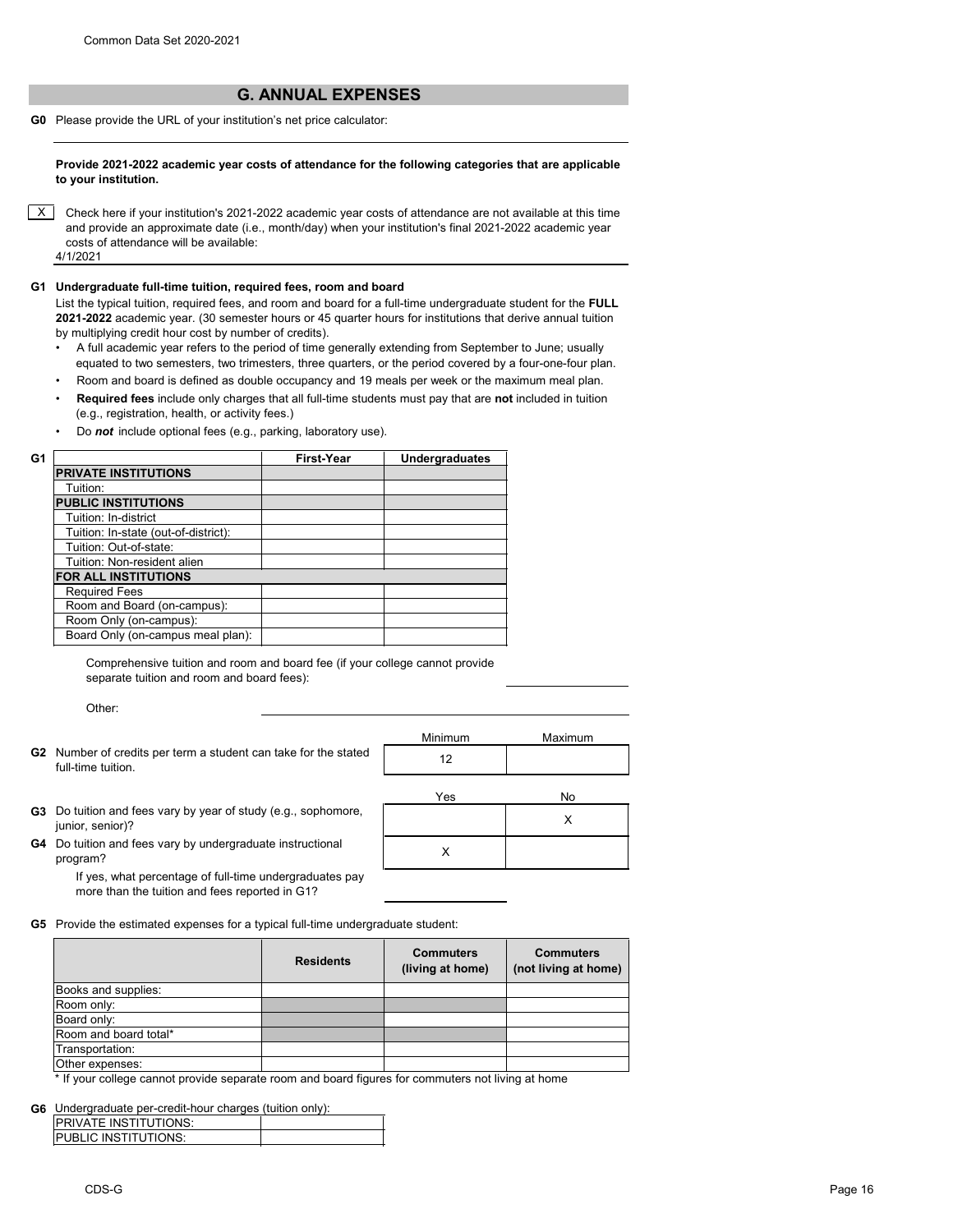# **G. ANNUAL EXPENSES**

**G0** Please provide the URL of your institution's net price calculator:

**Provide 2021-2022 academic year costs of attendance for the following categories that are applicable to your institution.**

 $X$  Check here if your institution's 2021-2022 academic year costs of attendance are not available at this time and provide an approximate date (i.e., month/day) when your institution's final 2021-2022 academic year costs of attendance will be available: 4/1/2021

# **G1 Undergraduate full-time tuition, required fees, room and board**

List the typical tuition, required fees, and room and board for a full-time undergraduate student for the **FULL 2021-2022** academic year. (30 semester hours or 45 quarter hours for institutions that derive annual tuition by multiplying credit hour cost by number of credits).

- A full academic year refers to the period of time generally extending from September to June; usually equated to two semesters, two trimesters, three quarters, or the period covered by a four-one-four plan.
- Room and board is defined as double occupancy and 19 meals per week or the maximum meal plan. • **Required fees** include only charges that all full-time students must pay that are **not** included in tuition
- (e.g., registration, health, or activity fees.)
- Do *not* include optional fees (e.g., parking, laboratory use).

| G1 |                                      | <b>First-Year</b> | <b>Undergraduates</b> |
|----|--------------------------------------|-------------------|-----------------------|
|    | <b>PRIVATE INSTITUTIONS</b>          |                   |                       |
|    | Tuition:                             |                   |                       |
|    | <b>PUBLIC INSTITUTIONS</b>           |                   |                       |
|    | Tuition: In-district                 |                   |                       |
|    | Tuition: In-state (out-of-district): |                   |                       |
|    | Tuition: Out-of-state:               |                   |                       |
|    | Tuition: Non-resident alien          |                   |                       |
|    | <b>FOR ALL INSTITUTIONS</b>          |                   |                       |
|    | <b>Required Fees</b>                 |                   |                       |
|    | Room and Board (on-campus):          |                   |                       |
|    | Room Only (on-campus):               |                   |                       |
|    | Board Only (on-campus meal plan):    |                   |                       |
|    |                                      |                   |                       |

Comprehensive tuition and room and board fee (if your college cannot provide separate tuition and room and board fees):

Other:

**G2** Number of credits per term a student can take for the stated <br>full time tuition full-time tuition.

| Minimum | Maximum |
|---------|---------|
| 12      |         |
| Yes     | No      |

X

- **G3** Do tuition and fees vary by year of study (e.g., sophomore,  $\begin{array}{ccc} \downarrow & & \downarrow & \downarrow \ \downarrow & & \downarrow & \downarrow \end{array}$ junior, senior)?
- **G4** Do tuition and fees vary by undergraduate instructional program?

If yes, what percentage of full-time undergraduates pay more than the tuition and fees reported in G1?

**G5** Provide the estimated expenses for a typical full-time undergraduate student:

|                       | <b>Residents</b> | <b>Commuters</b><br>(living at home) | <b>Commuters</b><br>(not living at home) |
|-----------------------|------------------|--------------------------------------|------------------------------------------|
| Books and supplies:   |                  |                                      |                                          |
| Room only:            |                  |                                      |                                          |
| Board only:           |                  |                                      |                                          |
| Room and board total* |                  |                                      |                                          |
| Transportation:       |                  |                                      |                                          |
| Other expenses:       |                  |                                      |                                          |

\* If your college cannot provide separate room and board figures for commuters not living at home

# **G6** Undergraduate per-credit-hour charges (tuition only):

| <b>IPRIVATE INSTITUTIONS:</b> |  |
|-------------------------------|--|
| <b>IPUBLIC INSTITUTIONS:</b>  |  |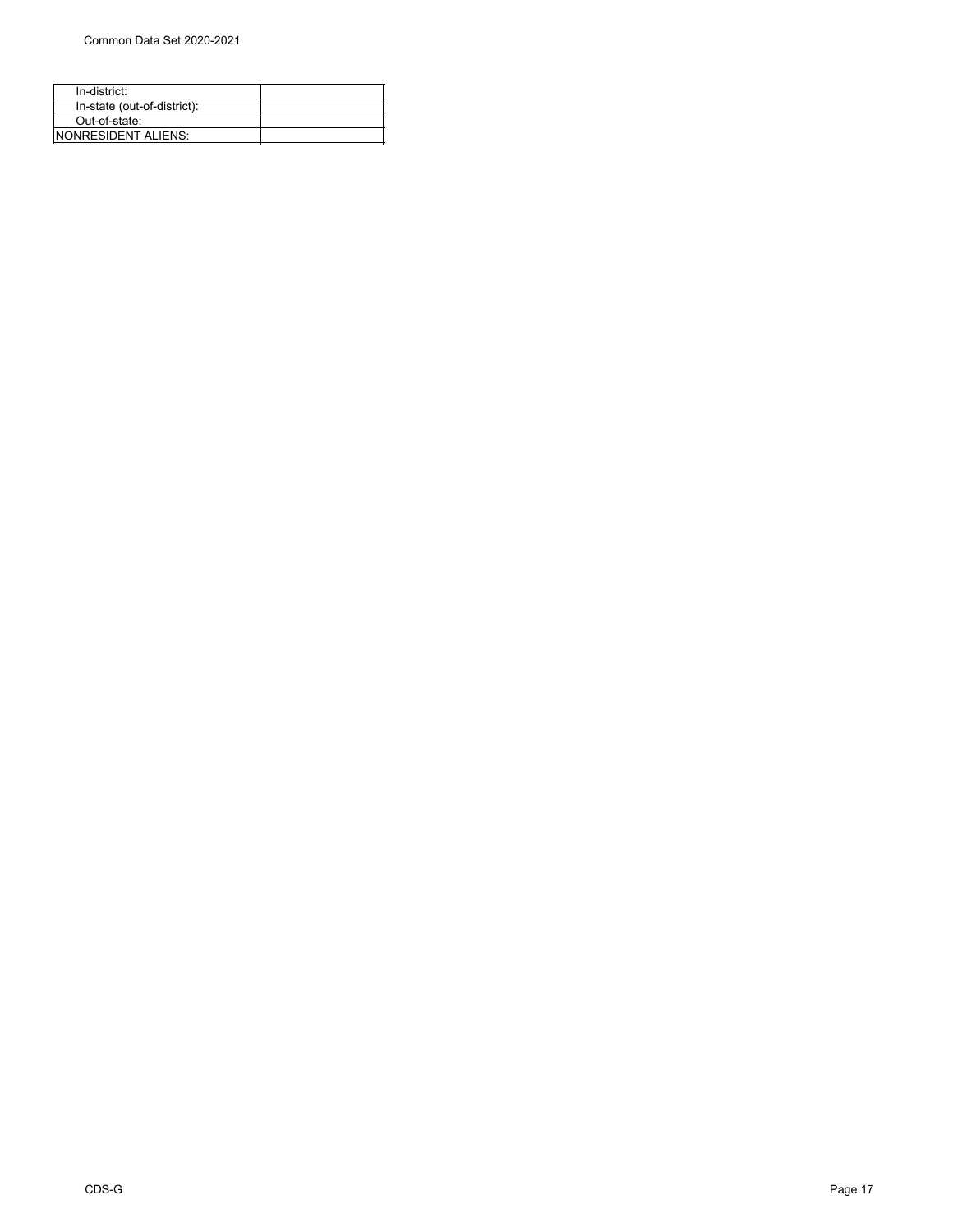| In-district:                |  |
|-----------------------------|--|
| In-state (out-of-district): |  |
| Out-of-state:               |  |
| <b>INONRESIDENT ALIENS:</b> |  |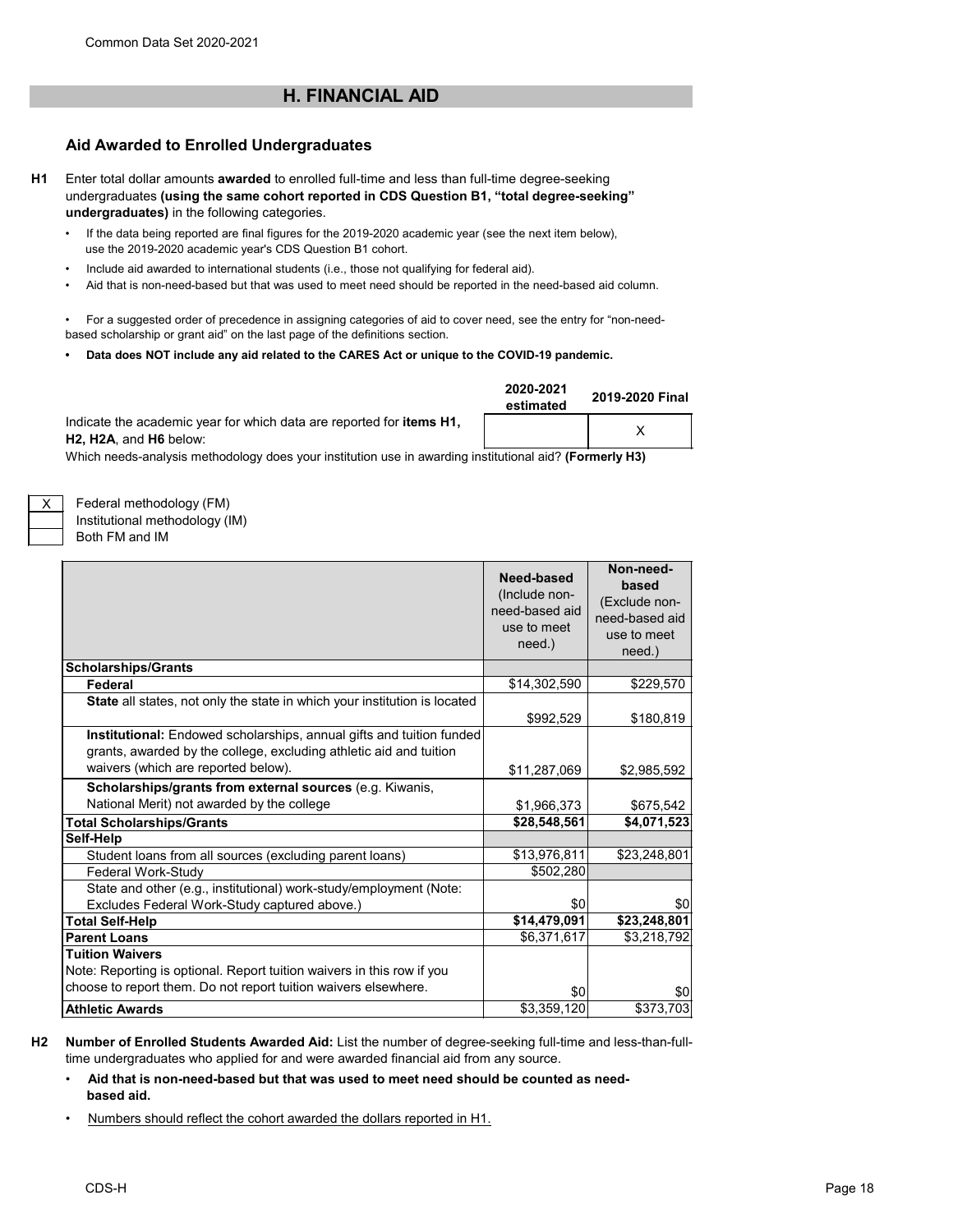# **H. FINANCIAL AID**

# **Aid Awarded to Enrolled Undergraduates**

**H1** Enter total dollar amounts **awarded** to enrolled full-time and less than full-time degree-seeking undergraduates **(using the same cohort reported in CDS Question B1, "total degree-seeking" undergraduates)** in the following categories.

- If the data being reported are final figures for the 2019-2020 academic year (see the next item below), use the 2019-2020 academic year's CDS Question B1 cohort.
- Include aid awarded to international students (i.e., those not qualifying for federal aid).
- Aid that is non-need-based but that was used to meet need should be reported in the need-based aid column.

• For a suggested order of precedence in assigning categories of aid to cover need, see the entry for "non-needbased scholarship or grant aid" on the last page of the definitions section.

**• Data does NOT include any aid related to the CARES Act or unique to the COVID-19 pandemic.**

Indicate the academic year for which data are reported for **items H1, H2, H2A**, and **H6** below:

| 2020-2021<br>estimated | 2019-2020 Final |  |  |
|------------------------|-----------------|--|--|
|                        |                 |  |  |

Which needs-analysis methodology does your institution use in awarding institutional aid? **(Formerly H3)**

Federal methodology (FM) Institutional methodology (IM)

Both FM and IM

X

|                                                                                                                                                                                   | Need-based<br>(Include non-<br>need-based aid<br>use to meet<br>need.) | Non-need-<br>based<br>(Exclude non-<br>need-based aid<br>use to meet<br>need.) |
|-----------------------------------------------------------------------------------------------------------------------------------------------------------------------------------|------------------------------------------------------------------------|--------------------------------------------------------------------------------|
| <b>Scholarships/Grants</b>                                                                                                                                                        |                                                                        |                                                                                |
| Federal                                                                                                                                                                           | \$14,302,590                                                           | \$229,570                                                                      |
| State all states, not only the state in which your institution is located                                                                                                         | \$992,529                                                              | \$180,819                                                                      |
| Institutional: Endowed scholarships, annual gifts and tuition funded<br>grants, awarded by the college, excluding athletic aid and tuition<br>waivers (which are reported below). | \$11,287,069                                                           | \$2,985,592                                                                    |
| Scholarships/grants from external sources (e.g. Kiwanis,                                                                                                                          |                                                                        |                                                                                |
| National Merit) not awarded by the college                                                                                                                                        | \$1,966,373                                                            | \$675,542                                                                      |
| <b>Total Scholarships/Grants</b>                                                                                                                                                  | \$28,548,561                                                           | \$4,071,523                                                                    |
| Self-Help                                                                                                                                                                         |                                                                        |                                                                                |
| Student loans from all sources (excluding parent loans)                                                                                                                           | \$13,976,811                                                           | \$23,248,801                                                                   |
| Federal Work-Study                                                                                                                                                                | \$502,280                                                              |                                                                                |
| State and other (e.g., institutional) work-study/employment (Note:<br>Excludes Federal Work-Study captured above.)                                                                | \$0                                                                    | \$0                                                                            |
| <b>Total Self-Help</b>                                                                                                                                                            | \$14,479,091                                                           | \$23,248,801                                                                   |
| <b>Parent Loans</b>                                                                                                                                                               | \$6,371,617                                                            | \$3,218,792                                                                    |
| <b>Tuition Waivers</b><br>Note: Reporting is optional. Report tuition waivers in this row if you                                                                                  |                                                                        |                                                                                |
| choose to report them. Do not report tuition waivers elsewhere.                                                                                                                   | \$0                                                                    | \$0                                                                            |
| <b>Athletic Awards</b>                                                                                                                                                            | \$3,359,120                                                            | \$373,703                                                                      |

- **H2 Number of Enrolled Students Awarded Aid:** List the number of degree-seeking full-time and less-than-fulltime undergraduates who applied for and were awarded financial aid from any source.
	- **Aid that is non-need-based but that was used to meet need should be counted as need based aid.**
	- Numbers should reflect the cohort awarded the dollars reported in H1.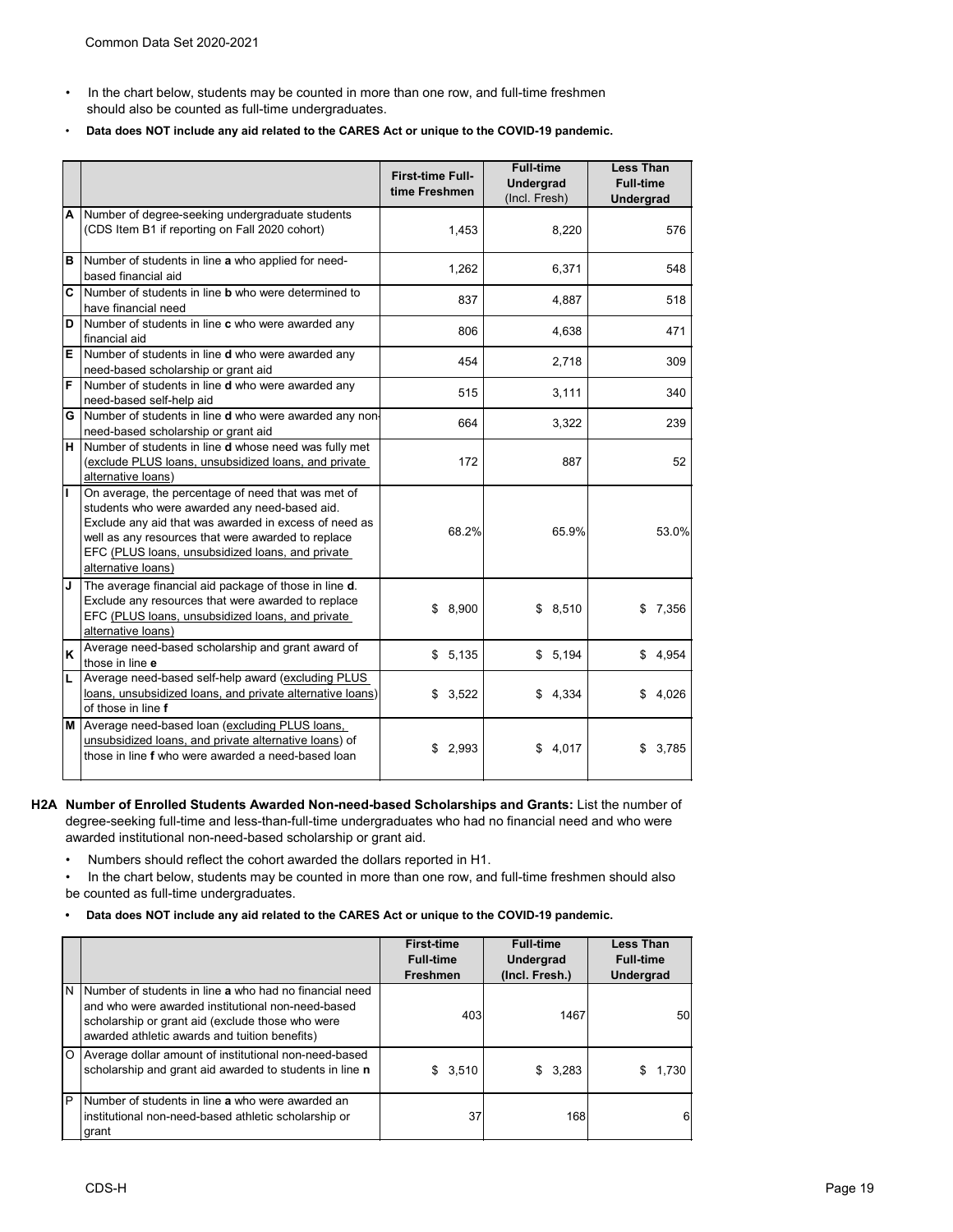- In the chart below, students may be counted in more than one row, and full-time freshmen should also be counted as full-time undergraduates.
- **Data does NOT include any aid related to the CARES Act or unique to the COVID-19 pandemic.**

|                         |                                                                                                                                                                                                                                                                                              | <b>First-time Full-</b><br>time Freshmen | <b>Full-time</b><br><b>Undergrad</b><br>(Incl. Fresh) | <b>Less Than</b><br><b>Full-time</b><br><b>Undergrad</b> |
|-------------------------|----------------------------------------------------------------------------------------------------------------------------------------------------------------------------------------------------------------------------------------------------------------------------------------------|------------------------------------------|-------------------------------------------------------|----------------------------------------------------------|
| A                       | Number of degree-seeking undergraduate students<br>(CDS Item B1 if reporting on Fall 2020 cohort)                                                                                                                                                                                            | 1,453                                    | 8,220                                                 | 576                                                      |
| В                       | Number of students in line a who applied for need-<br>based financial aid                                                                                                                                                                                                                    | 1,262                                    | 6,371                                                 | 548                                                      |
| $\overline{\mathsf{c}}$ | Number of students in line <b>b</b> who were determined to<br>have financial need                                                                                                                                                                                                            | 837                                      | 4,887                                                 | 518                                                      |
| D                       | Number of students in line c who were awarded any<br>financial aid                                                                                                                                                                                                                           | 806                                      | 4,638                                                 | 471                                                      |
| E                       | Number of students in line <b>d</b> who were awarded any<br>need-based scholarship or grant aid                                                                                                                                                                                              | 454                                      | 2,718                                                 | 309                                                      |
| F                       | Number of students in line <b>d</b> who were awarded any<br>need-based self-help aid                                                                                                                                                                                                         | 515                                      | 3,111                                                 | 340                                                      |
|                         | G Number of students in line d who were awarded any non-<br>need-based scholarship or grant aid                                                                                                                                                                                              | 664                                      | 3,322                                                 | 239                                                      |
| H                       | Number of students in line d whose need was fully met<br>(exclude PLUS loans, unsubsidized loans, and private<br>alternative loans)                                                                                                                                                          | 172                                      | 887                                                   | 52                                                       |
| $\mathbf{I}$            | On average, the percentage of need that was met of<br>students who were awarded any need-based aid.<br>Exclude any aid that was awarded in excess of need as<br>well as any resources that were awarded to replace<br>EFC (PLUS loans, unsubsidized loans, and private<br>alternative loans) | 68.2%                                    | 65.9%                                                 | 53.0%                                                    |
| J                       | The average financial aid package of those in line d.<br>Exclude any resources that were awarded to replace<br>EFC (PLUS loans, unsubsidized loans, and private<br>alternative loans)                                                                                                        | \$8,900                                  | \$8,510                                               | 7,356<br>\$                                              |
| K                       | Average need-based scholarship and grant award of<br>those in line e                                                                                                                                                                                                                         | \$5,135                                  | \$5,194                                               | \$4,954                                                  |
| Г                       | Average need-based self-help award (excluding PLUS<br>loans, unsubsidized loans, and private alternative loans)<br>of those in line f                                                                                                                                                        | 3,522<br>\$                              | 4,334<br>\$                                           | \$<br>4,026                                              |
|                         | M Average need-based loan (excluding PLUS loans,<br>unsubsidized loans, and private alternative loans) of<br>those in line f who were awarded a need-based loan                                                                                                                              | 2,993<br>\$                              | \$4,017                                               | \$<br>3,785                                              |

- **H2A Number of Enrolled Students Awarded Non-need-based Scholarships and Grants:** List the number of degree-seeking full-time and less-than-full-time undergraduates who had no financial need and who were awarded institutional non-need-based scholarship or grant aid.
	- Numbers should reflect the cohort awarded the dollars reported in H1.
	- In the chart below, students may be counted in more than one row, and full-time freshmen should also be counted as full-time undergraduates.
	- **Data does NOT include any aid related to the CARES Act or unique to the COVID-19 pandemic.**

|    |                                                                                                                                                                                                                  | <b>First-time</b><br><b>Full-time</b><br><b>Freshmen</b> | <b>Full-time</b><br><b>Undergrad</b><br>(Incl. Fresh.) | <b>Less Than</b><br><b>Full-time</b><br>Undergrad |
|----|------------------------------------------------------------------------------------------------------------------------------------------------------------------------------------------------------------------|----------------------------------------------------------|--------------------------------------------------------|---------------------------------------------------|
| ΙN | Number of students in line a who had no financial need<br>and who were awarded institutional non-need-based<br>scholarship or grant aid (exclude those who were<br>awarded athletic awards and tuition benefits) | 403                                                      | 1467                                                   | 50 <sup>1</sup>                                   |
| ΙO | Average dollar amount of institutional non-need-based<br>scholarship and grant aid awarded to students in line n                                                                                                 | \$3,510                                                  | \$3,283                                                | 1.730                                             |
| P  | Number of students in line a who were awarded an<br>institutional non-need-based athletic scholarship or<br>grant                                                                                                | 37                                                       | 168                                                    | 6                                                 |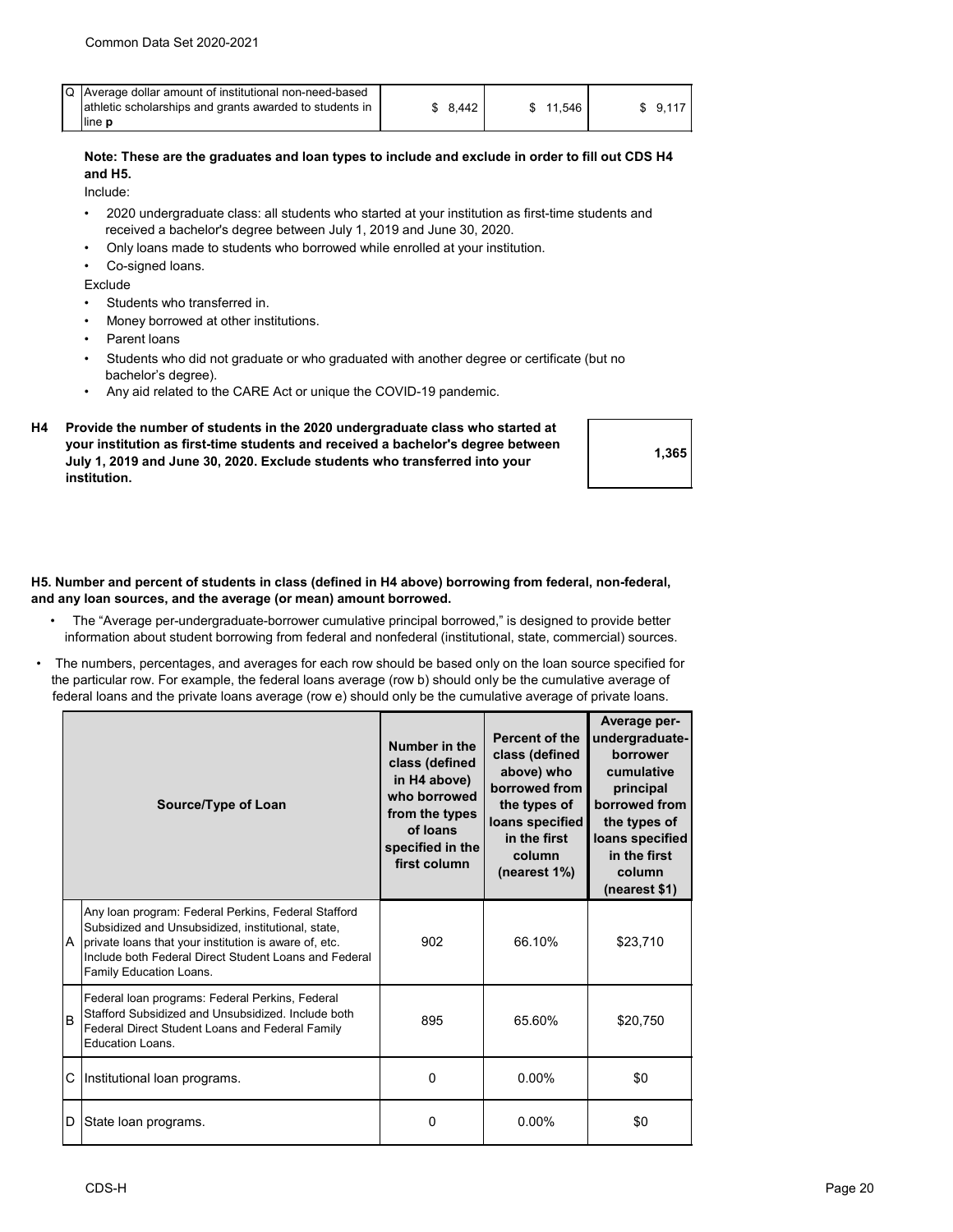| Q Average dollar amount of institutional non-need-based |       |        |      |  |
|---------------------------------------------------------|-------|--------|------|--|
| athletic scholarships and grants awarded to students in | 8.442 | 11.546 | 9.11 |  |
| line <b>p</b>                                           |       |        |      |  |

## **Note: These are the graduates and loan types to include and exclude in order to fill out CDS H4 and H5.**

Include:

- 2020 undergraduate class: all students who started at your institution as first-time students and received a bachelor's degree between July 1, 2019 and June 30, 2020.
- Only loans made to students who borrowed while enrolled at your institution.
- Co-signed loans.

Exclude

- Students who transferred in.
- Money borrowed at other institutions.
- Parent loans
- Students who did not graduate or who graduated with another degree or certificate (but no bachelor's degree).
- Any aid related to the CARE Act or unique the COVID-19 pandemic.
- **H4 Provide the number of students in the 2020 undergraduate class who started at your institution as first-time students and received a bachelor's degree between July 1, 2019 and June 30, 2020. Exclude students who transferred into your institution.**



## **H5. Number and percent of students in class (defined in H4 above) borrowing from federal, non-federal, and any loan sources, and the average (or mean) amount borrowed.**

- The "Average per-undergraduate-borrower cumulative principal borrowed," is designed to provide better information about student borrowing from federal and nonfederal (institutional, state, commercial) sources.
- The numbers, percentages, and averages for each row should be based only on the loan source specified for the particular row. For example, the federal loans average (row b) should only be the cumulative average of federal loans and the private loans average (row e) should only be the cumulative average of private loans.

| Source/Type of Loan |                                                                                                                                                                                                                                                        | Number in the<br>class (defined<br>in H4 above)<br>who borrowed<br>from the types<br>of loans<br>specified in the<br>first column | <b>Percent of the</b><br>class (defined<br>above) who<br>borrowed from<br>the types of<br>loans specified<br>in the first<br>column<br>(nearest 1%) | Average per-<br>undergraduate-<br>borrower<br>cumulative<br>principal<br>borrowed from<br>the types of<br>loans specified<br>in the first<br>column<br>(nearest \$1) |  |
|---------------------|--------------------------------------------------------------------------------------------------------------------------------------------------------------------------------------------------------------------------------------------------------|-----------------------------------------------------------------------------------------------------------------------------------|-----------------------------------------------------------------------------------------------------------------------------------------------------|----------------------------------------------------------------------------------------------------------------------------------------------------------------------|--|
| A                   | Any loan program: Federal Perkins, Federal Stafford<br>Subsidized and Unsubsidized, institutional, state,<br>private loans that your institution is aware of, etc.<br>Include both Federal Direct Student Loans and Federal<br>Family Education Loans. | 902                                                                                                                               | 66.10%                                                                                                                                              | \$23,710                                                                                                                                                             |  |
| İΒ                  | Federal loan programs: Federal Perkins, Federal<br>Stafford Subsidized and Unsubsidized. Include both<br>Federal Direct Student Loans and Federal Family<br>Education Loans.                                                                           | 895                                                                                                                               | 65.60%                                                                                                                                              | \$20,750                                                                                                                                                             |  |
| С                   | Institutional loan programs.                                                                                                                                                                                                                           | $\Omega$                                                                                                                          | $0.00\%$                                                                                                                                            | \$0                                                                                                                                                                  |  |
| D                   | State loan programs.                                                                                                                                                                                                                                   | $\Omega$                                                                                                                          | $0.00\%$                                                                                                                                            | \$0                                                                                                                                                                  |  |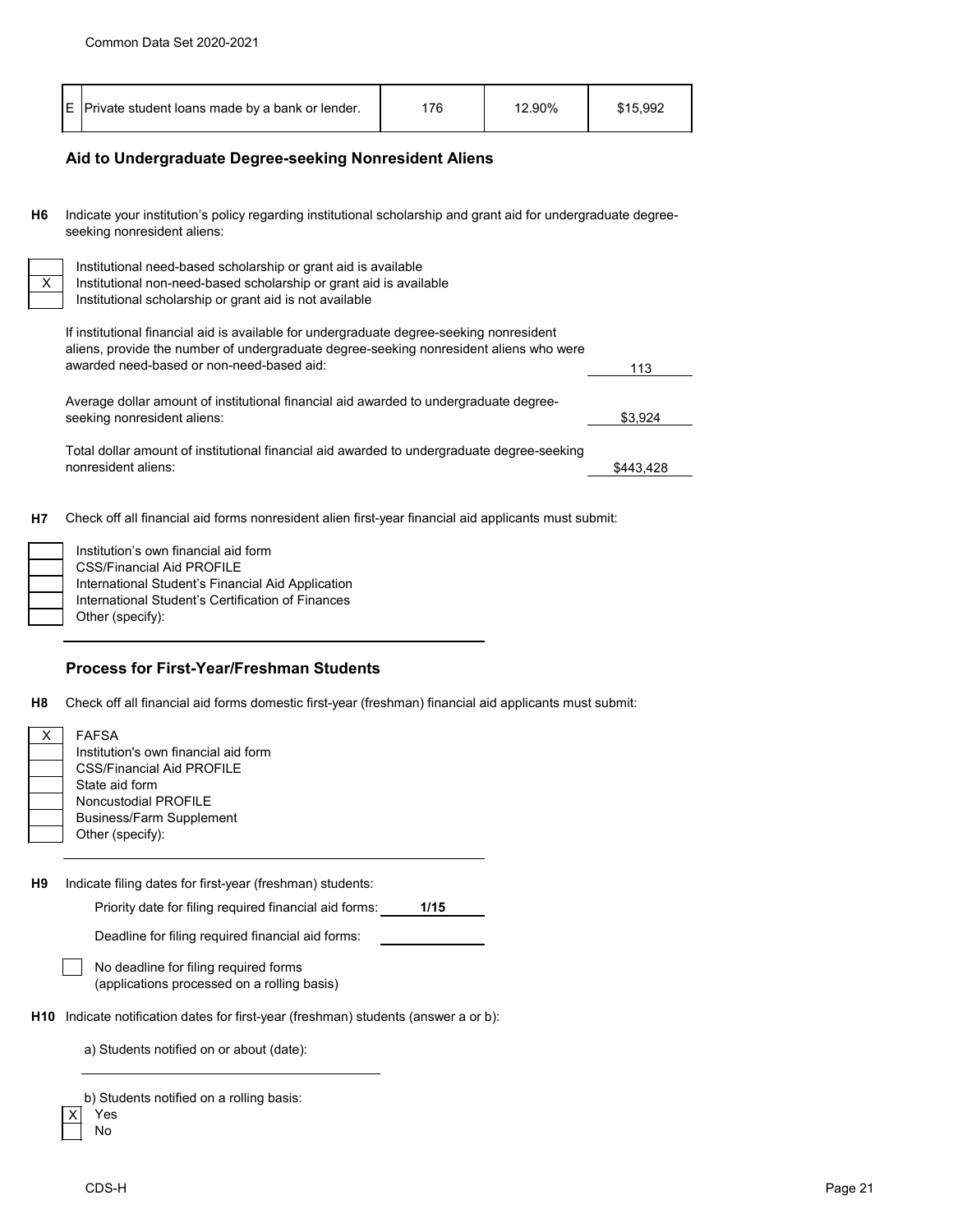# **Aid to Undergraduate Degree-seeking Nonresident Aliens**

**H6** Indicate your institution's policy regarding institutional scholarship and grant aid for undergraduate degreeseeking nonresident aliens:

Institutional need-based scholarship or grant aid is available Institutional non-need-based scholarship or grant aid is available Institutional scholarship or grant aid is not available $\overline{\phantom{a}}$ If institutional financial aid is available for undergraduate degree-seeking nonresident

| ii iiiottatoriai iiriarioiai ara io avallabio for arraorgraadato aogroo oooning riomooraont<br>aliens, provide the number of undergraduate degree-seeking nonresident aliens who were |           |
|---------------------------------------------------------------------------------------------------------------------------------------------------------------------------------------|-----------|
| awarded need-based or non-need-based aid:                                                                                                                                             | 113       |
| Average dollar amount of institutional financial aid awarded to undergraduate degree-                                                                                                 |           |
| seeking nonresident aliens:                                                                                                                                                           | \$3,924   |
| Total dollar amount of institutional financial aid awarded to undergraduate degree-seeking                                                                                            |           |
| nonresident aliens:                                                                                                                                                                   | \$443,428 |

**H7** Check off all financial aid forms nonresident alien first-year financial aid applicants must submit:

| Institution's own financial aid form              |
|---------------------------------------------------|
| CSS/Financial Aid PROFILE                         |
| International Student's Financial Aid Application |
| International Student's Certification of Finances |
| Other (specify):                                  |

# **Process for First-Year/Freshman Students**

**H8** Check off all financial aid forms domestic first-year (freshman) financial aid applicants must submit:

| X.              | <b>FAFSA</b><br>Institution's own financial aid form<br><b>CSS/Financial Aid PROFILE</b><br>State aid form<br>Noncustodial PROFILE<br><b>Business/Farm Supplement</b><br>Other (specify): |
|-----------------|-------------------------------------------------------------------------------------------------------------------------------------------------------------------------------------------|
| H9              | Indicate filing dates for first-year (freshman) students:<br>Priority date for filing required financial aid forms:<br>1/15<br>Deadline for filing required financial aid forms:          |
|                 | No deadline for filing required forms<br>(applications processed on a rolling basis)                                                                                                      |
| H <sub>10</sub> | Indicate notification dates for first-year (freshman) students (answer a or b):                                                                                                           |
|                 | a) Students notified on or about (date):                                                                                                                                                  |

b) Students notified on a rolling basis:

| ż | s  |
|---|----|
|   | N٥ |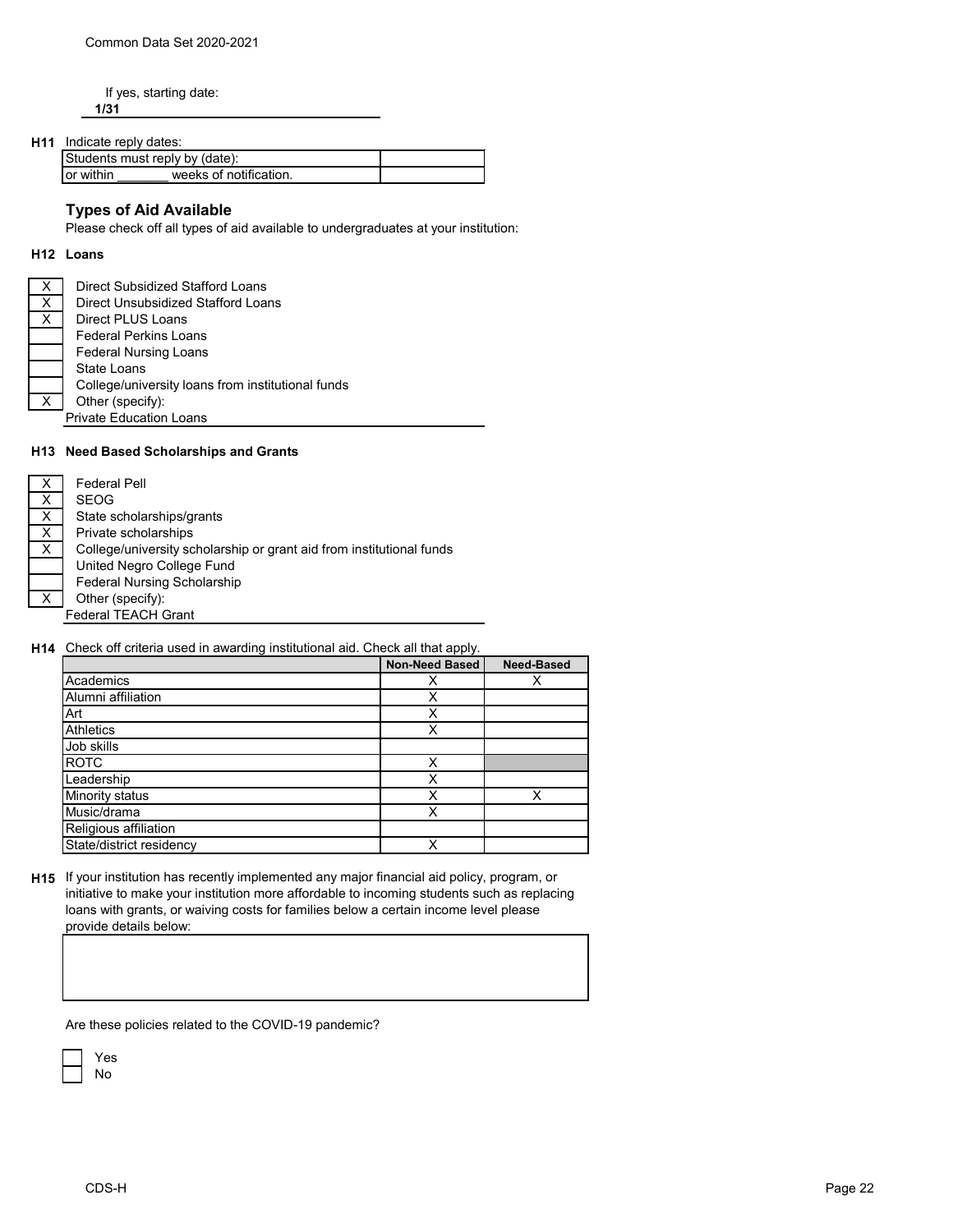If yes, starting date: **1/31**

## **H11** Indicate reply dates:

| Students must reply by (date): |                        |  |
|--------------------------------|------------------------|--|
| <b>lor</b> within              | weeks of notification. |  |

# **Types of Aid Available**

Please check off all types of aid available to undergraduates at your institution:

#### **H12 Loans**

| х | Direct Subsidized Stafford Loans                  |
|---|---------------------------------------------------|
| X | Direct Unsubsidized Stafford Loans                |
| Х | Direct PLUS Loans                                 |
|   | <b>Federal Perkins Loans</b>                      |
|   | <b>Federal Nursing Loans</b>                      |
|   | State Loans                                       |
|   | College/university loans from institutional funds |
| X | Other (specify):                                  |
|   | <b>Private Education Loans</b>                    |

### **H13 Need Based Scholarships and Grants**

| X | Federal Pell                                                         |
|---|----------------------------------------------------------------------|
| X | <b>SEOG</b>                                                          |
| X | State scholarships/grants                                            |
| X | Private scholarships                                                 |
| X | College/university scholarship or grant aid from institutional funds |
|   | United Negro College Fund                                            |
|   | <b>Federal Nursing Scholarship</b>                                   |
| X | Other (specify):                                                     |
|   | <b>Federal TEACH Grant</b>                                           |

## **H14** Check off criteria used in awarding institutional aid. Check all that apply.

|                          | <b>Non-Need Based</b> | <b>Need-Based</b> |
|--------------------------|-----------------------|-------------------|
| Academics                | х                     |                   |
| Alumni affiliation       | х                     |                   |
| Art                      | x                     |                   |
| <b>Athletics</b>         | Χ                     |                   |
| Job skills               |                       |                   |
| <b>ROTC</b>              | x                     |                   |
| Leadership               | x                     |                   |
| Minority status          | χ                     | x                 |
| Music/drama              | X                     |                   |
| Religious affiliation    |                       |                   |
| State/district residency | x                     |                   |

**H15** If your institution has recently implemented any major financial aid policy, program, or initiative to make your institution more affordable to incoming students such as replacing loans with grants, or waiving costs for families below a certain income level please provide details below:

Are these policies related to the COVID-19 pandemic?

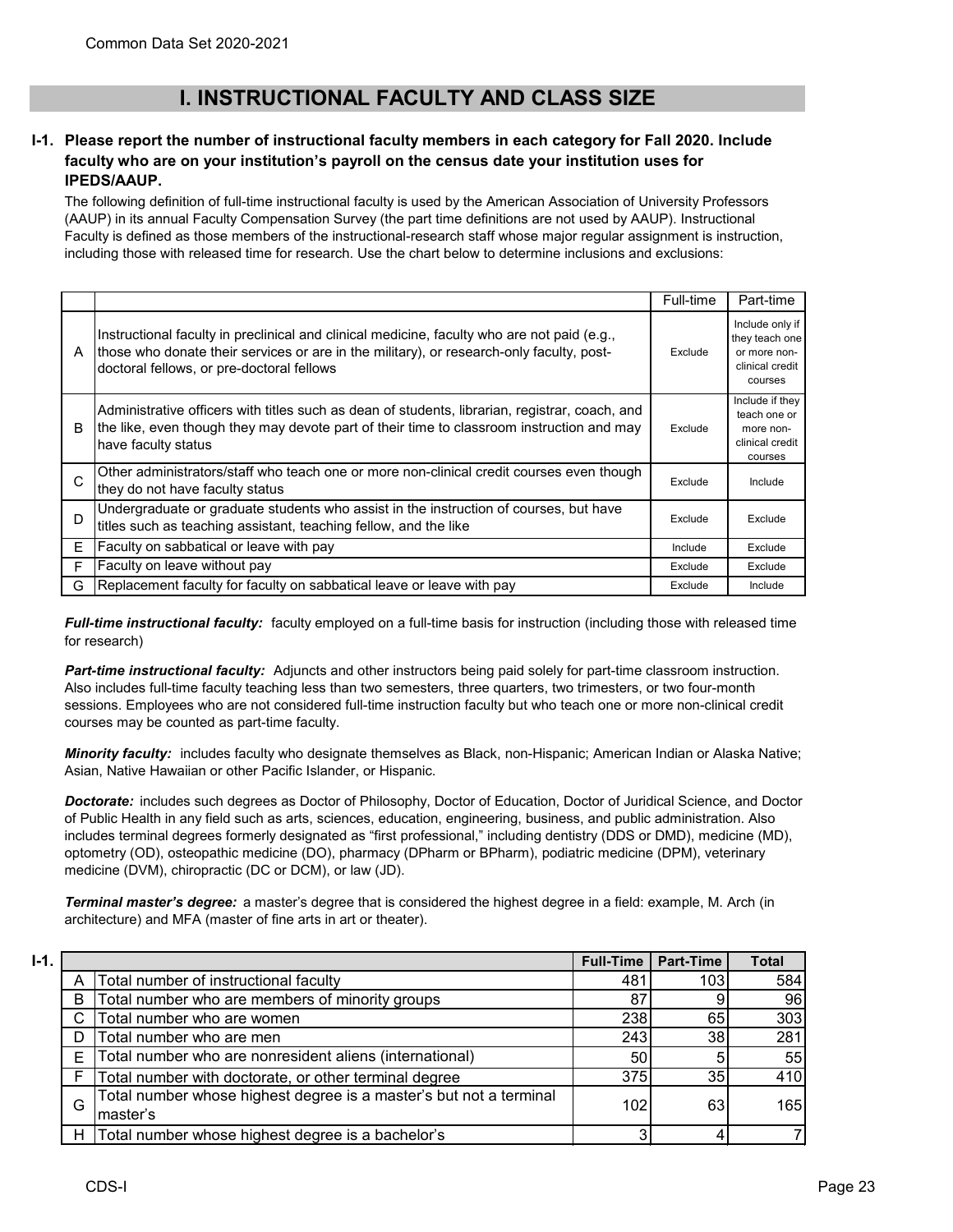# **I. INSTRUCTIONAL FACULTY AND CLASS SIZE**

### **I-1. Please report the number of instructional faculty members in each category for Fall 2020. Include faculty who are on your institution's payroll on the census date your institution uses for IPEDS/AAUP.**

The following definition of full-time instructional faculty is used by the American Association of University Professors (AAUP) in its annual Faculty Compensation Survey (the part time definitions are not used by AAUP). Instructional Faculty is defined as those members of the instructional-research staff whose major regular assignment is instruction, including those with released time for research. Use the chart below to determine inclusions and exclusions:

|   |                                                                                                                                                                                                                                      | Full-time | Part-time                                                                       |
|---|--------------------------------------------------------------------------------------------------------------------------------------------------------------------------------------------------------------------------------------|-----------|---------------------------------------------------------------------------------|
| A | Instructional faculty in preclinical and clinical medicine, faculty who are not paid (e.g.,<br>those who donate their services or are in the military), or research-only faculty, post-<br>doctoral fellows, or pre-doctoral fellows | Exclude   | Include only if<br>they teach one<br>or more non-<br>clinical credit<br>courses |
| B | Administrative officers with titles such as dean of students, librarian, registrar, coach, and<br>the like, even though they may devote part of their time to classroom instruction and may<br>have faculty status                   | Exclude   | Include if they<br>teach one or<br>more non-<br>clinical credit<br>courses      |
| C | Other administrators/staff who teach one or more non-clinical credit courses even though<br>they do not have faculty status                                                                                                          | Exclude   | Include                                                                         |
| D | Undergraduate or graduate students who assist in the instruction of courses, but have<br>titles such as teaching assistant, teaching fellow, and the like                                                                            | Exclude   | Exclude                                                                         |
| E | Faculty on sabbatical or leave with pay                                                                                                                                                                                              | Include   | Exclude                                                                         |
| F | Faculty on leave without pay                                                                                                                                                                                                         | Exclude   | Exclude                                                                         |
| G | Replacement faculty for faculty on sabbatical leave or leave with pay                                                                                                                                                                | Exclude   | Include                                                                         |

*Full-time instructional faculty:* faculty employed on a full-time basis for instruction (including those with released time for research)

*Part-time instructional faculty:* Adjuncts and other instructors being paid solely for part-time classroom instruction. Also includes full-time faculty teaching less than two semesters, three quarters, two trimesters, or two four-month sessions. Employees who are not considered full-time instruction faculty but who teach one or more non-clinical credit courses may be counted as part-time faculty.

*Minority faculty:* includes faculty who designate themselves as Black, non-Hispanic; American Indian or Alaska Native; Asian, Native Hawaiian or other Pacific Islander, or Hispanic.

*Doctorate:* includes such degrees as Doctor of Philosophy, Doctor of Education, Doctor of Juridical Science, and Doctor of Public Health in any field such as arts, sciences, education, engineering, business, and public administration. Also includes terminal degrees formerly designated as "first professional," including dentistry (DDS or DMD), medicine (MD), optometry (OD), osteopathic medicine (DO), pharmacy (DPharm or BPharm), podiatric medicine (DPM), veterinary medicine (DVM), chiropractic (DC or DCM), or law (JD).

*Terminal master's degree:* a master's degree that is considered the highest degree in a field: example, M. Arch (in architecture) and MFA (master of fine arts in art or theater).

| $I-1.$ |   |                                                                                | <b>Full-Time</b> | <b>Part-Time</b> | <b>Total</b> |
|--------|---|--------------------------------------------------------------------------------|------------------|------------------|--------------|
|        |   | Total number of instructional faculty                                          | 481              | 103              | 584          |
|        | B | Total number who are members of minority groups                                | 87               |                  | 96           |
|        | C | Total number who are women                                                     | 238              | 65               | 303          |
|        | D | Total number who are men                                                       | 243              | 38               | 281          |
|        | Е | Total number who are nonresident aliens (international)                        | 50               |                  | 55           |
|        | F | Total number with doctorate, or other terminal degree                          | 375              | 35               | 410          |
|        | G | Total number whose highest degree is a master's but not a terminal<br>master's | 102              | 63               | 165          |
|        | н | Total number whose highest degree is a bachelor's                              |                  |                  |              |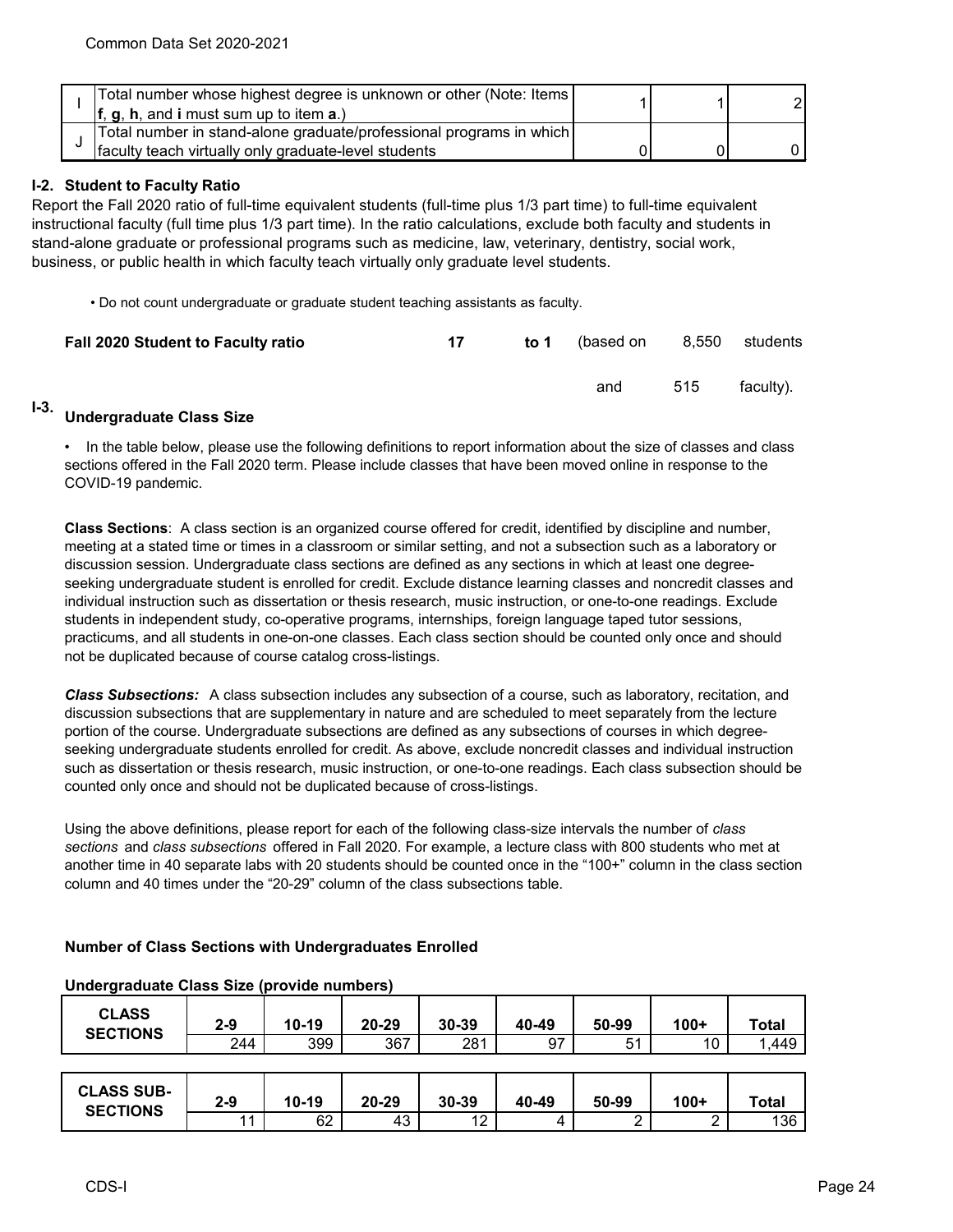|  |  | Total number whose highest degree is unknown or other (Note: Items                 |  |  |
|--|--|------------------------------------------------------------------------------------|--|--|
|  |  | $\mathbf{f}$ , $\mathbf{g}$ , $\mathbf{h}$ , and i must sum up to item <b>a</b> .) |  |  |
|  |  | Total number in stand-alone graduate/professional programs in which                |  |  |
|  |  | faculty teach virtually only graduate-level students                               |  |  |

### **I-2. Student to Faculty Ratio**

Report the Fall 2020 ratio of full-time equivalent students (full-time plus 1/3 part time) to full-time equivalent instructional faculty (full time plus 1/3 part time). In the ratio calculations, exclude both faculty and students in stand-alone graduate or professional programs such as medicine, law, veterinary, dentistry, social work, business, or public health in which faculty teach virtually only graduate level students.

• Do not count undergraduate or graduate student teaching assistants as faculty.

| Fall 2020 Student to Faculty ratio | 17 | to 1 (based on 8,550 students |     |           |
|------------------------------------|----|-------------------------------|-----|-----------|
|                                    |    | and                           | 515 | faculty). |

#### **I-3. Undergraduate Class Size**

• In the table below, please use the following definitions to report information about the size of classes and class sections offered in the Fall 2020 term. Please include classes that have been moved online in response to the COVID-19 pandemic.

**Class Sections**: A class section is an organized course offered for credit, identified by discipline and number, meeting at a stated time or times in a classroom or similar setting, and not a subsection such as a laboratory or discussion session. Undergraduate class sections are defined as any sections in which at least one degreeseeking undergraduate student is enrolled for credit. Exclude distance learning classes and noncredit classes and individual instruction such as dissertation or thesis research, music instruction, or one-to-one readings. Exclude students in independent study, co-operative programs, internships, foreign language taped tutor sessions, practicums, and all students in one-on-one classes. Each class section should be counted only once and should not be duplicated because of course catalog cross-listings.

*Class Subsections:* A class subsection includes any subsection of a course, such as laboratory, recitation, and discussion subsections that are supplementary in nature and are scheduled to meet separately from the lecture portion of the course. Undergraduate subsections are defined as any subsections of courses in which degreeseeking undergraduate students enrolled for credit. As above, exclude noncredit classes and individual instruction such as dissertation or thesis research, music instruction, or one-to-one readings. Each class subsection should be counted only once and should not be duplicated because of cross-listings.

Using the above definitions, please report for each of the following class-size intervals the number of *class sections* and *class subsections* offered in Fall 2020. For example, a lecture class with 800 students who met at another time in 40 separate labs with 20 students should be counted once in the "100+" column in the class section column and 40 times under the "20-29" column of the class subsections table.

#### **Number of Class Sections with Undergraduates Enrolled**

| <b>CLASS</b><br><b>SECTIONS</b>      | $2 - 9$ | $10 - 19$ | 20-29 | 30-39 | 40-49 | 50-99 | $100+$ | <b>Total</b> |
|--------------------------------------|---------|-----------|-------|-------|-------|-------|--------|--------------|
|                                      | 244     | 399       | 367   | 281   | 97    | 51    | 10     | 1,449        |
|                                      |         |           |       |       |       |       |        |              |
| <b>CLASS SUB-</b><br><b>SECTIONS</b> | $2 - 9$ | $10 - 19$ | 20-29 | 30-39 | 40-49 | 50-99 | $100+$ | <b>Total</b> |
|                                      | 11      | 62        | 43    | 12    | 4     |       |        | 136          |

#### **Undergraduate Class Size (provide numbers)**